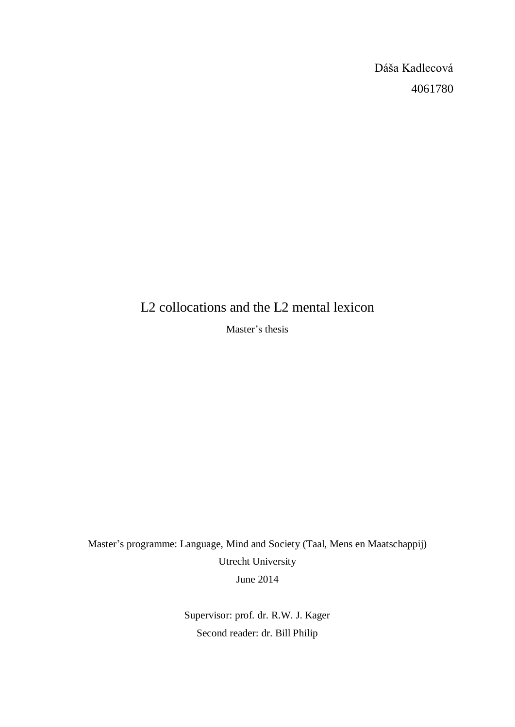Dáša Kadlecová 4061780

# L2 collocations and the L2 mental lexicon

Master's thesis

Master's programme: Language, Mind and Society (Taal, Mens en Maatschappij) Utrecht University June 2014

> Supervisor: prof. dr. R.W. J. Kager Second reader: dr. Bill Philip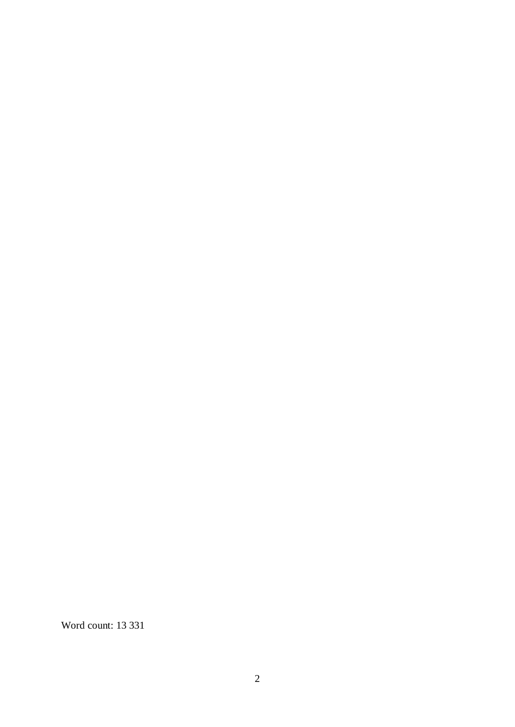Word count: 13 331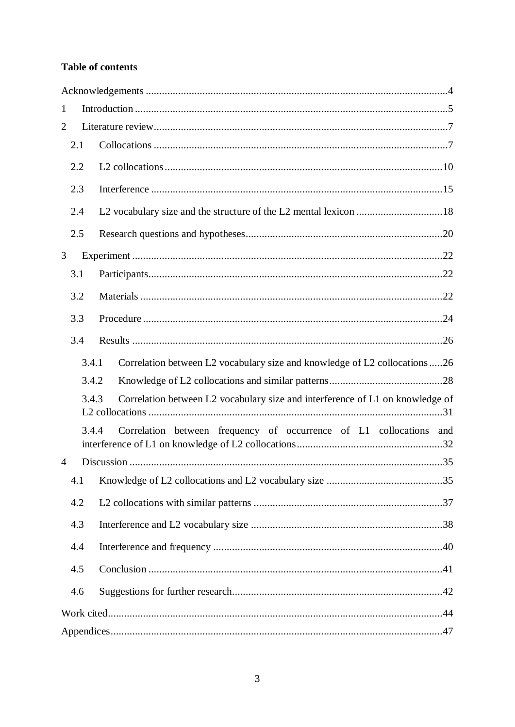# **Table of contents**

| $\mathbf{1}$   |       |  |                                                                               |
|----------------|-------|--|-------------------------------------------------------------------------------|
| 2              |       |  |                                                                               |
|                | 2.1   |  |                                                                               |
|                | 2.2   |  |                                                                               |
|                | 2.3   |  |                                                                               |
|                | 2.4   |  |                                                                               |
|                | 2.5   |  |                                                                               |
| 3              |       |  |                                                                               |
|                | 3.1   |  |                                                                               |
|                | 3.2   |  |                                                                               |
|                | 3.3   |  |                                                                               |
|                | 3.4   |  |                                                                               |
|                | 3.4.1 |  | Correlation between L2 vocabulary size and knowledge of L2 collocations 26    |
|                | 3.4.2 |  |                                                                               |
| 3.4.3          |       |  | Correlation between L2 vocabulary size and interference of L1 on knowledge of |
|                | 3.4.4 |  | Correlation between frequency of occurrence of L1 collocations<br>and         |
| $\overline{4}$ |       |  |                                                                               |
|                | 4.1   |  |                                                                               |
|                | 4.2   |  |                                                                               |
|                | 4.3   |  |                                                                               |
|                | 4.4   |  |                                                                               |
|                | 4.5   |  |                                                                               |
|                | 4.6   |  |                                                                               |
|                |       |  |                                                                               |
|                |       |  |                                                                               |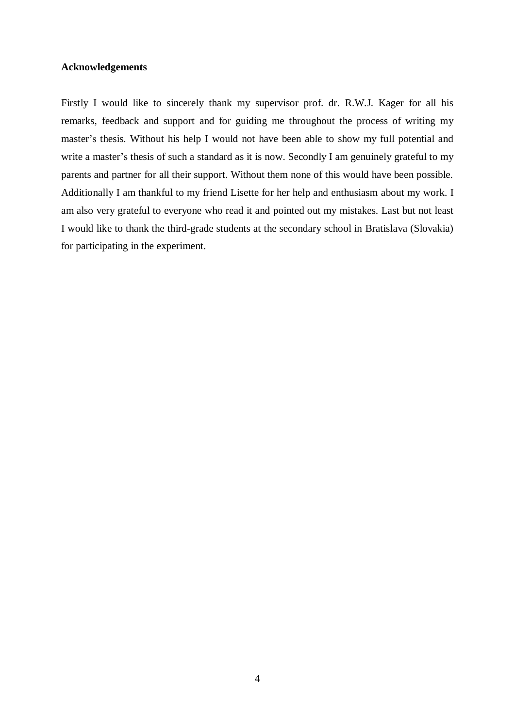# <span id="page-3-0"></span>**Acknowledgements**

Firstly I would like to sincerely thank my supervisor prof. dr. R.W.J. Kager for all his remarks, feedback and support and for guiding me throughout the process of writing my master's thesis. Without his help I would not have been able to show my full potential and write a master's thesis of such a standard as it is now. Secondly I am genuinely grateful to my parents and partner for all their support. Without them none of this would have been possible. Additionally I am thankful to my friend Lisette for her help and enthusiasm about my work. I am also very grateful to everyone who read it and pointed out my mistakes. Last but not least I would like to thank the third-grade students at the secondary school in Bratislava (Slovakia) for participating in the experiment.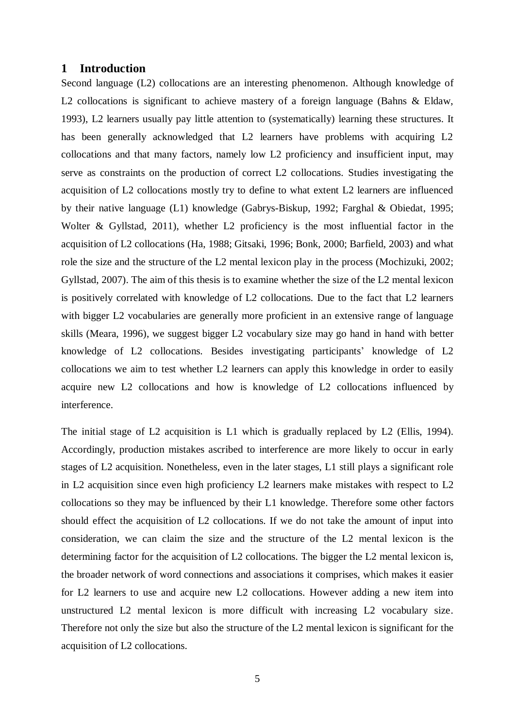# <span id="page-4-0"></span>**1 Introduction**

Second language (L2) collocations are an interesting phenomenon. Although knowledge of L2 collocations is significant to achieve mastery of a foreign language (Bahns & Eldaw, 1993), L2 learners usually pay little attention to (systematically) learning these structures. It has been generally acknowledged that L2 learners have problems with acquiring L2 collocations and that many factors, namely low L2 proficiency and insufficient input, may serve as constraints on the production of correct L2 collocations. Studies investigating the acquisition of L2 collocations mostly try to define to what extent L2 learners are influenced by their native language (L1) knowledge (Gabrys-Biskup, 1992; Farghal & Obiedat, 1995; Wolter & Gyllstad, 2011), whether L2 proficiency is the most influential factor in the acquisition of L2 collocations (Ha, 1988; Gitsaki, 1996; Bonk, 2000; Barfield, 2003) and what role the size and the structure of the L2 mental lexicon play in the process (Mochizuki, 2002; Gyllstad, 2007). The aim of this thesis is to examine whether the size of the L2 mental lexicon is positively correlated with knowledge of L2 collocations. Due to the fact that L2 learners with bigger L2 vocabularies are generally more proficient in an extensive range of language skills (Meara, 1996), we suggest bigger L2 vocabulary size may go hand in hand with better knowledge of L2 collocations. Besides investigating participants' knowledge of L2 collocations we aim to test whether L2 learners can apply this knowledge in order to easily acquire new L2 collocations and how is knowledge of L2 collocations influenced by interference.

The initial stage of L2 acquisition is L1 which is gradually replaced by L2 (Ellis, 1994). Accordingly, production mistakes ascribed to interference are more likely to occur in early stages of L2 acquisition. Nonetheless, even in the later stages, L1 still plays a significant role in L2 acquisition since even high proficiency L2 learners make mistakes with respect to L2 collocations so they may be influenced by their L1 knowledge. Therefore some other factors should effect the acquisition of L2 collocations. If we do not take the amount of input into consideration, we can claim the size and the structure of the L2 mental lexicon is the determining factor for the acquisition of L2 collocations. The bigger the L2 mental lexicon is, the broader network of word connections and associations it comprises, which makes it easier for L2 learners to use and acquire new L2 collocations. However adding a new item into unstructured L2 mental lexicon is more difficult with increasing L2 vocabulary size. Therefore not only the size but also the structure of the L2 mental lexicon is significant for the acquisition of L2 collocations.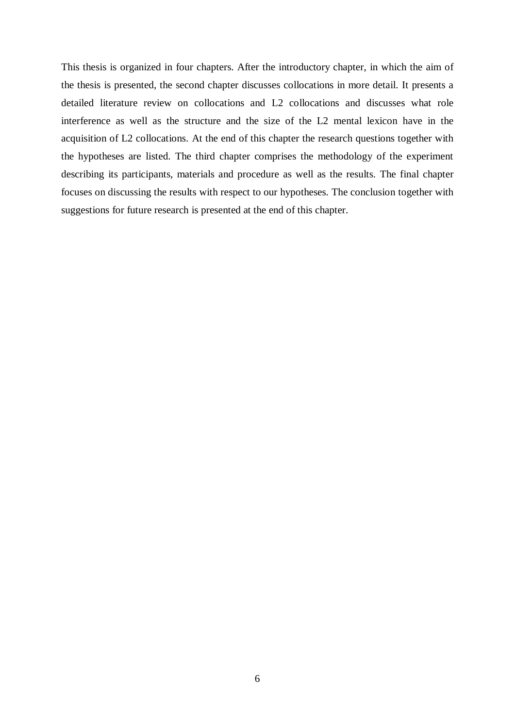This thesis is organized in four chapters. After the introductory chapter, in which the aim of the thesis is presented, the second chapter discusses collocations in more detail. It presents a detailed literature review on collocations and L2 collocations and discusses what role interference as well as the structure and the size of the L2 mental lexicon have in the acquisition of L2 collocations. At the end of this chapter the research questions together with the hypotheses are listed. The third chapter comprises the methodology of the experiment describing its participants, materials and procedure as well as the results. The final chapter focuses on discussing the results with respect to our hypotheses. The conclusion together with suggestions for future research is presented at the end of this chapter.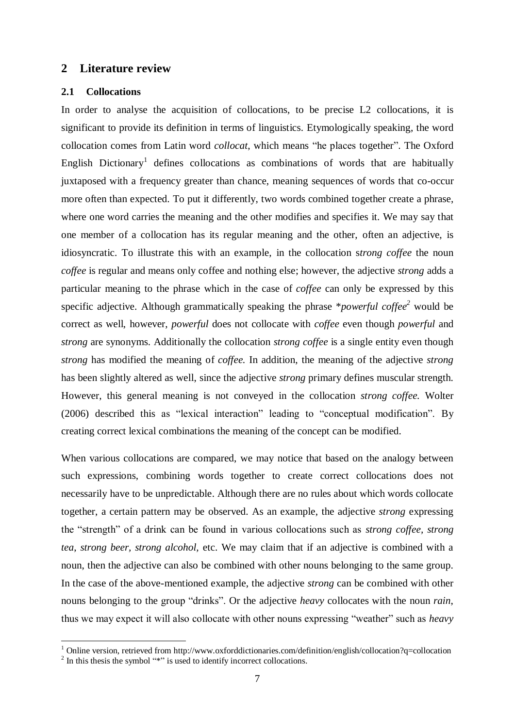## <span id="page-6-0"></span>**2 Literature review**

## <span id="page-6-1"></span>**2.1 Collocations**

In order to analyse the acquisition of collocations, to be precise L2 collocations, it is significant to provide its definition in terms of linguistics. Etymologically speaking, the word collocation comes from Latin word *collocat*, which means "he places together". The Oxford English Dictionary<sup>1</sup> defines collocations as combinations of words that are habitually juxtaposed with a frequency greater than chance, meaning sequences of words that co-occur more often than expected. To put it differently, two words combined together create a phrase, where one word carries the meaning and the other modifies and specifies it. We may say that one member of a collocation has its regular meaning and the other, often an adjective, is idiosyncratic. To illustrate this with an example, in the collocation s*trong coffee* the noun *coffee* is regular and means only coffee and nothing else; however, the adjective *strong* adds a particular meaning to the phrase which in the case of *coffee* can only be expressed by this specific adjective. Although grammatically speaking the phrase \**powerful coffee<sup>2</sup>* would be correct as well, however, *powerful* does not collocate with *coffee* even though *powerful* and *strong* are synonyms. Additionally the collocation *strong coffee* is a single entity even though *strong* has modified the meaning of *coffee.* In addition, the meaning of the adjective *strong* has been slightly altered as well, since the adjective *strong* primary defines muscular strength. However, this general meaning is not conveyed in the collocation *strong coffee.* Wolter (2006) described this as "lexical interaction" leading to "conceptual modification". By creating correct lexical combinations the meaning of the concept can be modified.

When various collocations are compared, we may notice that based on the analogy between such expressions, combining words together to create correct collocations does not necessarily have to be unpredictable. Although there are no rules about which words collocate together, a certain pattern may be observed. As an example, the adjective *strong* expressing the "strength" of a drink can be found in various collocations such as *strong coffee, strong tea*, *strong beer, strong alcohol,* etc. We may claim that if an adjective is combined with a noun, then the adjective can also be combined with other nouns belonging to the same group. In the case of the above-mentioned example, the adjective *strong* can be combined with other nouns belonging to the group "drinks". Or the adjective *heavy* collocates with the noun *rain*, thus we may expect it will also collocate with other nouns expressing "weather" such as *heavy* 

<u>.</u>

<sup>&</sup>lt;sup>1</sup> Online version, retrieved fro[m http://www.oxforddictionaries.com/definition/english/collocation?q=collocation](http://www.oxforddictionaries.com/definition/english/collocation?q=collocation)

 $2 \text{ In this thesis the symbol "*" is used to identify incorrect collections.}$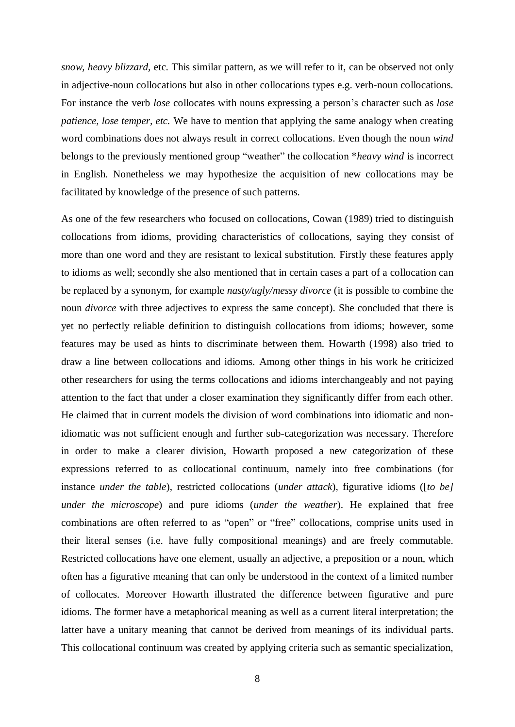*snow, heavy blizzard,* etc*.* This similar pattern, as we will refer to it, can be observed not only in adjective-noun collocations but also in other collocations types e.g. verb-noun collocations. For instance the verb *lose* collocates with nouns expressing a person's character such as *lose patience, lose temper, etc.* We have to mention that applying the same analogy when creating word combinations does not always result in correct collocations. Even though the noun *wind* belongs to the previously mentioned group "weather" the collocation \**heavy wind* is incorrect in English. Nonetheless we may hypothesize the acquisition of new collocations may be facilitated by knowledge of the presence of such patterns.

As one of the few researchers who focused on collocations, Cowan (1989) tried to distinguish collocations from idioms, providing characteristics of collocations, saying they consist of more than one word and they are resistant to lexical substitution. Firstly these features apply to idioms as well; secondly she also mentioned that in certain cases a part of a collocation can be replaced by a synonym, for example *nasty/ugly/messy divorce* (it is possible to combine the noun *divorce* with three adjectives to express the same concept). She concluded that there is yet no perfectly reliable definition to distinguish collocations from idioms; however, some features may be used as hints to discriminate between them. Howarth (1998) also tried to draw a line between collocations and idioms. Among other things in his work he criticized other researchers for using the terms collocations and idioms interchangeably and not paying attention to the fact that under a closer examination they significantly differ from each other. He claimed that in current models the division of word combinations into idiomatic and nonidiomatic was not sufficient enough and further sub-categorization was necessary. Therefore in order to make a clearer division, Howarth proposed a new categorization of these expressions referred to as collocational continuum, namely into free combinations (for instance *under the table*), restricted collocations (*under attack*), figurative idioms ([*to be] under the microscope*) and pure idioms (*under the weather*). He explained that free combinations are often referred to as "open" or "free" collocations, comprise units used in their literal senses (i.e. have fully compositional meanings) and are freely commutable. Restricted collocations have one element, usually an adjective, a preposition or a noun, which often has a figurative meaning that can only be understood in the context of a limited number of collocates. Moreover Howarth illustrated the difference between figurative and pure idioms. The former have a metaphorical meaning as well as a current literal interpretation; the latter have a unitary meaning that cannot be derived from meanings of its individual parts. This collocational continuum was created by applying criteria such as semantic specialization,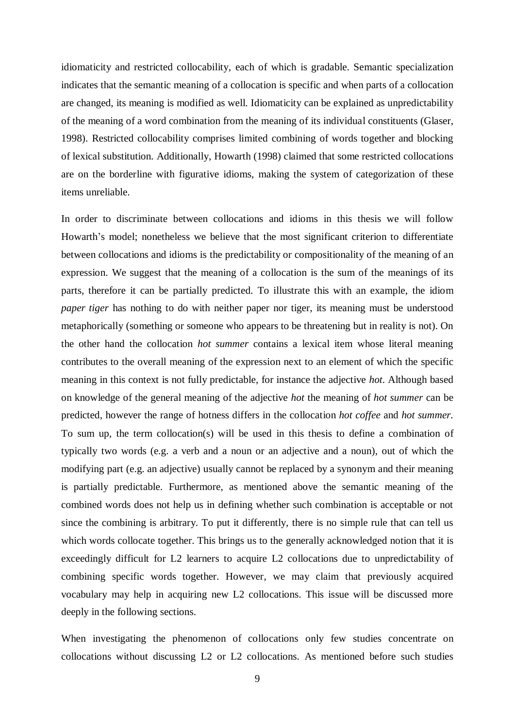idiomaticity and restricted collocability, each of which is gradable. Semantic specialization indicates that the semantic meaning of a collocation is specific and when parts of a collocation are changed, its meaning is modified as well. Idiomaticity can be explained as unpredictability of the meaning of a word combination from the meaning of its individual constituents (Glaser, 1998). Restricted collocability comprises limited combining of words together and blocking of lexical substitution. Additionally, Howarth (1998) claimed that some restricted collocations are on the borderline with figurative idioms, making the system of categorization of these items unreliable.

In order to discriminate between collocations and idioms in this thesis we will follow Howarth's model; nonetheless we believe that the most significant criterion to differentiate between collocations and idioms is the predictability or compositionality of the meaning of an expression. We suggest that the meaning of a collocation is the sum of the meanings of its parts, therefore it can be partially predicted. To illustrate this with an example, the idiom *paper tiger* has nothing to do with neither paper nor tiger, its meaning must be understood metaphorically (something or someone who appears to be threatening but in reality is not). On the other hand the collocation *hot summer* contains a lexical item whose literal meaning contributes to the overall meaning of the expression next to an element of which the specific meaning in this context is not fully predictable, for instance the adjective *hot*. Although based on knowledge of the general meaning of the adjective *hot* the meaning of *hot summer* can be predicted, however the range of hotness differs in the collocation *hot coffee* and *hot summer.* To sum up, the term collocation(s) will be used in this thesis to define a combination of typically two words (e.g. a verb and a noun or an adjective and a noun), out of which the modifying part (e.g. an adjective) usually cannot be replaced by a synonym and their meaning is partially predictable. Furthermore, as mentioned above the semantic meaning of the combined words does not help us in defining whether such combination is acceptable or not since the combining is arbitrary. To put it differently, there is no simple rule that can tell us which words collocate together. This brings us to the generally acknowledged notion that it is exceedingly difficult for L2 learners to acquire L2 collocations due to unpredictability of combining specific words together. However, we may claim that previously acquired vocabulary may help in acquiring new L2 collocations. This issue will be discussed more deeply in the following sections.

When investigating the phenomenon of collocations only few studies concentrate on collocations without discussing L2 or L2 collocations. As mentioned before such studies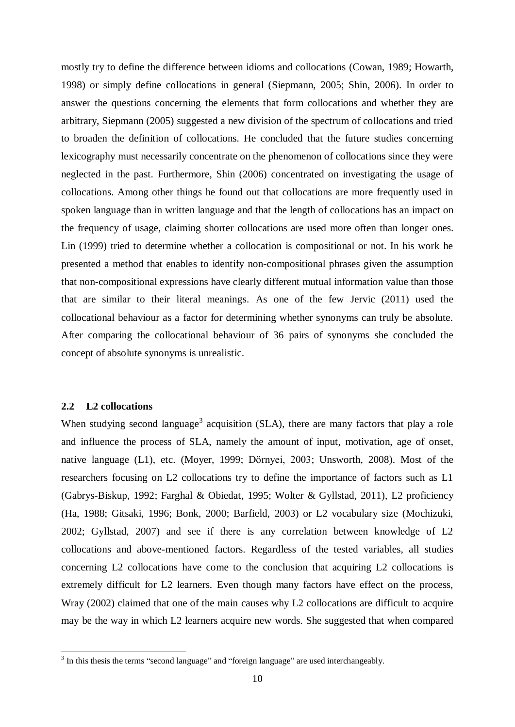mostly try to define the difference between idioms and collocations (Cowan, 1989; Howarth, 1998) or simply define collocations in general (Siepmann, 2005; Shin, 2006). In order to answer the questions concerning the elements that form collocations and whether they are arbitrary, Siepmann (2005) suggested a new division of the spectrum of collocations and tried to broaden the definition of collocations. He concluded that the future studies concerning lexicography must necessarily concentrate on the phenomenon of collocations since they were neglected in the past. Furthermore, Shin (2006) concentrated on investigating the usage of collocations. Among other things he found out that collocations are more frequently used in spoken language than in written language and that the length of collocations has an impact on the frequency of usage, claiming shorter collocations are used more often than longer ones. Lin (1999) tried to determine whether a collocation is compositional or not. In his work he presented a method that enables to identify non-compositional phrases given the assumption that non-compositional expressions have clearly different mutual information value than those that are similar to their literal meanings. As one of the few Jervic (2011) used the collocational behaviour as a factor for determining whether synonyms can truly be absolute. After comparing the collocational behaviour of 36 pairs of synonyms she concluded the concept of absolute synonyms is unrealistic.

#### <span id="page-9-0"></span>**2.2 L2 collocations**

1

When studying second language<sup>3</sup> acquisition (SLA), there are many factors that play a role and influence the process of SLA, namely the amount of input, motivation, age of onset, native language (L1), etc. (Moyer, 1999; Dörnyei, 2003; Unsworth, 2008). Most of the researchers focusing on L2 collocations try to define the importance of factors such as L1 (Gabrys-Biskup, 1992; Farghal & Obiedat, 1995; Wolter & Gyllstad, 2011), L2 proficiency (Ha, 1988; Gitsaki, 1996; Bonk, 2000; Barfield, 2003) or L2 vocabulary size (Mochizuki, 2002; Gyllstad, 2007) and see if there is any correlation between knowledge of L2 collocations and above-mentioned factors. Regardless of the tested variables, all studies concerning L2 collocations have come to the conclusion that acquiring L2 collocations is extremely difficult for L2 learners. Even though many factors have effect on the process, Wray (2002) claimed that one of the main causes why L2 collocations are difficult to acquire may be the way in which L2 learners acquire new words. She suggested that when compared

 $3$  In this thesis the terms "second language" and "foreign language" are used interchangeably.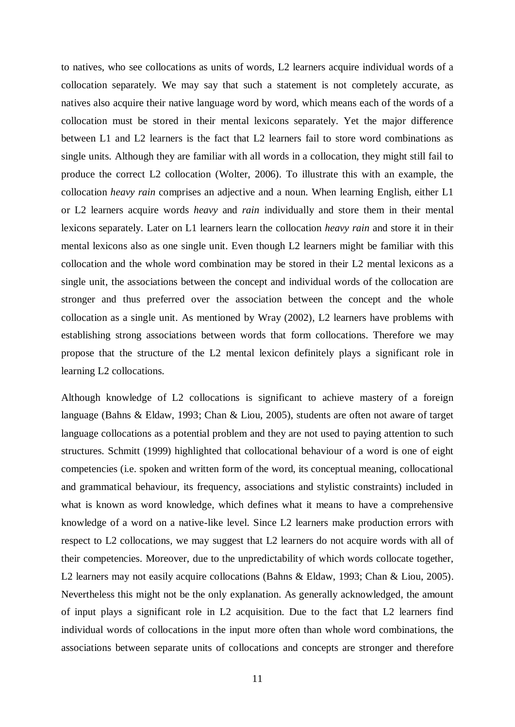to natives, who see collocations as units of words, L2 learners acquire individual words of a collocation separately. We may say that such a statement is not completely accurate, as natives also acquire their native language word by word, which means each of the words of a collocation must be stored in their mental lexicons separately. Yet the major difference between L1 and L2 learners is the fact that L2 learners fail to store word combinations as single units. Although they are familiar with all words in a collocation, they might still fail to produce the correct L2 collocation (Wolter, 2006). To illustrate this with an example, the collocation *heavy rain* comprises an adjective and a noun. When learning English, either L1 or L2 learners acquire words *heavy* and *rain* individually and store them in their mental lexicons separately. Later on L1 learners learn the collocation *heavy rain* and store it in their mental lexicons also as one single unit. Even though L2 learners might be familiar with this collocation and the whole word combination may be stored in their L2 mental lexicons as a single unit, the associations between the concept and individual words of the collocation are stronger and thus preferred over the association between the concept and the whole collocation as a single unit. As mentioned by Wray (2002), L2 learners have problems with establishing strong associations between words that form collocations. Therefore we may propose that the structure of the L2 mental lexicon definitely plays a significant role in learning L2 collocations.

Although knowledge of L2 collocations is significant to achieve mastery of a foreign language (Bahns & Eldaw, 1993; Chan & Liou, 2005), students are often not aware of target language collocations as a potential problem and they are not used to paying attention to such structures. Schmitt (1999) highlighted that collocational behaviour of a word is one of eight competencies (i.e. spoken and written form of the word, its conceptual meaning, collocational and grammatical behaviour, its frequency, associations and stylistic constraints) included in what is known as word knowledge, which defines what it means to have a comprehensive knowledge of a word on a native-like level. Since L2 learners make production errors with respect to L2 collocations, we may suggest that L2 learners do not acquire words with all of their competencies. Moreover, due to the unpredictability of which words collocate together, L2 learners may not easily acquire collocations (Bahns & Eldaw, 1993; Chan & Liou, 2005). Nevertheless this might not be the only explanation. As generally acknowledged, the amount of input plays a significant role in L2 acquisition. Due to the fact that L2 learners find individual words of collocations in the input more often than whole word combinations, the associations between separate units of collocations and concepts are stronger and therefore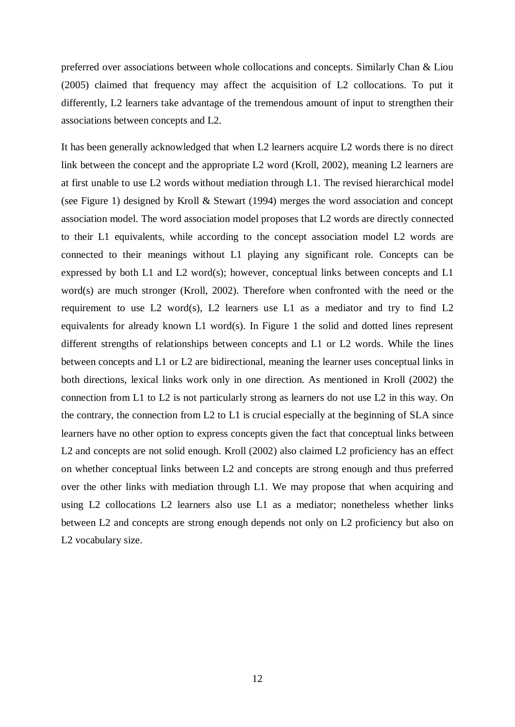preferred over associations between whole collocations and concepts. Similarly Chan & Liou (2005) claimed that frequency may affect the acquisition of L2 collocations. To put it differently, L2 learners take advantage of the tremendous amount of input to strengthen their associations between concepts and L2.

It has been generally acknowledged that when L2 learners acquire L2 words there is no direct link between the concept and the appropriate L2 word (Kroll, 2002), meaning L2 learners are at first unable to use L2 words without mediation through L1. The revised hierarchical model (see Figure 1) designed by Kroll & Stewart (1994) merges the word association and concept association model. The word association model proposes that L2 words are directly connected to their L1 equivalents, while according to the concept association model L2 words are connected to their meanings without L1 playing any significant role. Concepts can be expressed by both L1 and L2 word(s); however, conceptual links between concepts and L1 word(s) are much stronger (Kroll, 2002). Therefore when confronted with the need or the requirement to use L2 word(s), L2 learners use L1 as a mediator and try to find L2 equivalents for already known L1 word(s). In Figure 1 the solid and dotted lines represent different strengths of relationships between concepts and L1 or L2 words. While the lines between concepts and L1 or L2 are bidirectional, meaning the learner uses conceptual links in both directions, lexical links work only in one direction. As mentioned in Kroll (2002) the connection from L1 to L2 is not particularly strong as learners do not use L2 in this way. On the contrary, the connection from L2 to L1 is crucial especially at the beginning of SLA since learners have no other option to express concepts given the fact that conceptual links between L2 and concepts are not solid enough. Kroll (2002) also claimed L2 proficiency has an effect on whether conceptual links between L2 and concepts are strong enough and thus preferred over the other links with mediation through L1. We may propose that when acquiring and using L2 collocations L2 learners also use L1 as a mediator; nonetheless whether links between L2 and concepts are strong enough depends not only on L2 proficiency but also on L2 vocabulary size.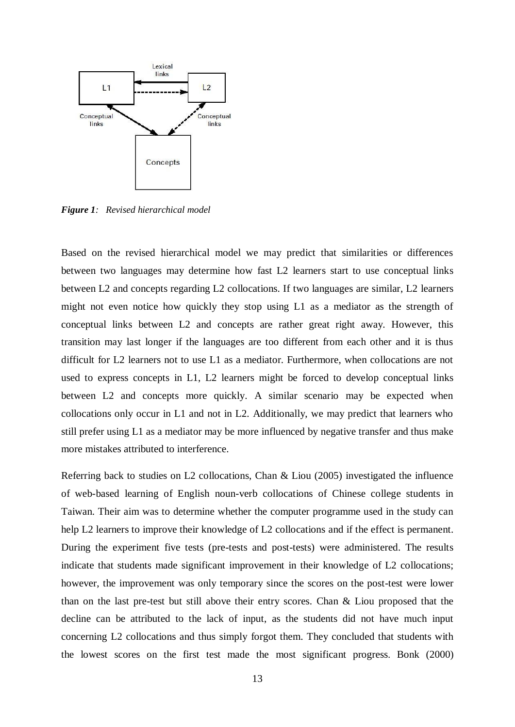

*Figure 1: Revised hierarchical model*

Based on the revised hierarchical model we may predict that similarities or differences between two languages may determine how fast L2 learners start to use conceptual links between L2 and concepts regarding L2 collocations. If two languages are similar, L2 learners might not even notice how quickly they stop using L1 as a mediator as the strength of conceptual links between L2 and concepts are rather great right away. However, this transition may last longer if the languages are too different from each other and it is thus difficult for L2 learners not to use L1 as a mediator. Furthermore, when collocations are not used to express concepts in L1, L2 learners might be forced to develop conceptual links between L2 and concepts more quickly. A similar scenario may be expected when collocations only occur in L1 and not in L2. Additionally, we may predict that learners who still prefer using L1 as a mediator may be more influenced by negative transfer and thus make more mistakes attributed to interference.

Referring back to studies on L2 collocations, Chan & Liou (2005) investigated the influence of web-based learning of English noun-verb collocations of Chinese college students in Taiwan. Their aim was to determine whether the computer programme used in the study can help L2 learners to improve their knowledge of L2 collocations and if the effect is permanent. During the experiment five tests (pre-tests and post-tests) were administered. The results indicate that students made significant improvement in their knowledge of L2 collocations; however, the improvement was only temporary since the scores on the post-test were lower than on the last pre-test but still above their entry scores. Chan & Liou proposed that the decline can be attributed to the lack of input, as the students did not have much input concerning L2 collocations and thus simply forgot them. They concluded that students with the lowest scores on the first test made the most significant progress. Bonk (2000)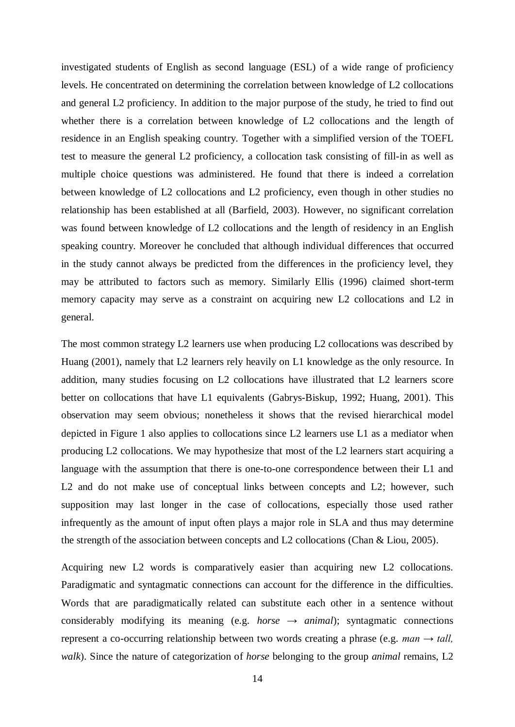investigated students of English as second language (ESL) of a wide range of proficiency levels. He concentrated on determining the correlation between knowledge of L2 collocations and general L2 proficiency. In addition to the major purpose of the study, he tried to find out whether there is a correlation between knowledge of L2 collocations and the length of residence in an English speaking country. Together with a simplified version of the TOEFL test to measure the general L2 proficiency, a collocation task consisting of fill-in as well as multiple choice questions was administered. He found that there is indeed a correlation between knowledge of L2 collocations and L2 proficiency, even though in other studies no relationship has been established at all (Barfield, 2003). However, no significant correlation was found between knowledge of L2 collocations and the length of residency in an English speaking country. Moreover he concluded that although individual differences that occurred in the study cannot always be predicted from the differences in the proficiency level, they may be attributed to factors such as memory. Similarly Ellis (1996) claimed short-term memory capacity may serve as a constraint on acquiring new L2 collocations and L2 in general.

The most common strategy L2 learners use when producing L2 collocations was described by Huang (2001), namely that L2 learners rely heavily on L1 knowledge as the only resource. In addition, many studies focusing on L2 collocations have illustrated that L2 learners score better on collocations that have L1 equivalents (Gabrys-Biskup, 1992; Huang, 2001). This observation may seem obvious; nonetheless it shows that the revised hierarchical model depicted in Figure 1 also applies to collocations since L2 learners use L1 as a mediator when producing L2 collocations. We may hypothesize that most of the L2 learners start acquiring a language with the assumption that there is one-to-one correspondence between their L1 and L2 and do not make use of conceptual links between concepts and L2; however, such supposition may last longer in the case of collocations, especially those used rather infrequently as the amount of input often plays a major role in SLA and thus may determine the strength of the association between concepts and L2 collocations (Chan & Liou, 2005).

Acquiring new L2 words is comparatively easier than acquiring new L2 collocations. Paradigmatic and syntagmatic connections can account for the difference in the difficulties. Words that are paradigmatically related can substitute each other in a sentence without considerably modifying its meaning (e.g. *horse*  $\rightarrow$  *animal*); syntagmatic connections represent a co-occurring relationship between two words creating a phrase (e.g. *man → tall, walk*). Since the nature of categorization of *horse* belonging to the group *animal* remains, L2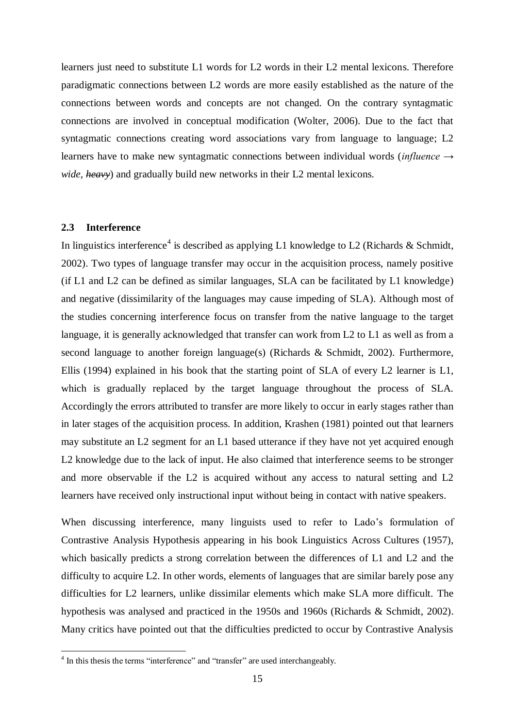learners just need to substitute L1 words for L2 words in their L2 mental lexicons. Therefore paradigmatic connections between L2 words are more easily established as the nature of the connections between words and concepts are not changed. On the contrary syntagmatic connections are involved in conceptual modification (Wolter, 2006). Due to the fact that syntagmatic connections creating word associations vary from language to language; L2 learners have to make new syntagmatic connections between individual words (*influence → wide, heavy*) and gradually build new networks in their L2 mental lexicons.

#### <span id="page-14-0"></span>**2.3 Interference**

In linguistics interference<sup>4</sup> is described as applying L1 knowledge to L2 (Richards & Schmidt, 2002). Two types of language transfer may occur in the acquisition process, namely positive (if L1 and L2 can be defined as similar languages, SLA can be facilitated by L1 knowledge) and negative (dissimilarity of the languages may cause impeding of SLA). Although most of the studies concerning interference focus on transfer from the native language to the target language, it is generally acknowledged that transfer can work from L2 to L1 as well as from a second language to another foreign language(s) (Richards & Schmidt, 2002). Furthermore, Ellis (1994) explained in his book that the starting point of SLA of every L2 learner is L1, which is gradually replaced by the target language throughout the process of SLA. Accordingly the errors attributed to transfer are more likely to occur in early stages rather than in later stages of the acquisition process. In addition, Krashen (1981) pointed out that learners may substitute an L2 segment for an L1 based utterance if they have not yet acquired enough L2 knowledge due to the lack of input. He also claimed that interference seems to be stronger and more observable if the L2 is acquired without any access to natural setting and L2 learners have received only instructional input without being in contact with native speakers.

When discussing interference, many linguists used to refer to Lado's formulation of Contrastive Analysis Hypothesis appearing in his book Linguistics Across Cultures (1957), which basically predicts a strong correlation between the differences of L1 and L2 and the difficulty to acquire L2. In other words, elements of languages that are similar barely pose any difficulties for L2 learners, unlike dissimilar elements which make SLA more difficult. The hypothesis was analysed and practiced in the 1950s and 1960s (Richards & Schmidt, 2002). Many critics have pointed out that the difficulties predicted to occur by Contrastive Analysis

<sup>&</sup>lt;sup>4</sup> In this thesis the terms "interference" and "transfer" are used interchangeably.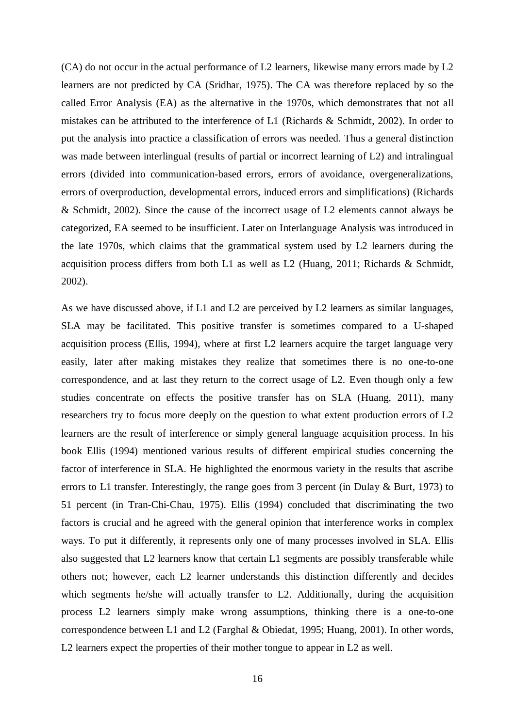(CA) do not occur in the actual performance of L2 learners, likewise many errors made by L2 learners are not predicted by CA (Sridhar, 1975). The CA was therefore replaced by so the called Error Analysis (EA) as the alternative in the 1970s, which demonstrates that not all mistakes can be attributed to the interference of L1 (Richards & Schmidt, 2002). In order to put the analysis into practice a classification of errors was needed. Thus a general distinction was made between interlingual (results of partial or incorrect learning of L2) and intralingual errors (divided into communication-based errors, errors of avoidance, overgeneralizations, errors of overproduction, developmental errors, induced errors and simplifications) (Richards & Schmidt, 2002). Since the cause of the incorrect usage of L2 elements cannot always be categorized, EA seemed to be insufficient. Later on Interlanguage Analysis was introduced in the late 1970s, which claims that the grammatical system used by L2 learners during the acquisition process differs from both L1 as well as L2 (Huang, 2011; Richards & Schmidt, 2002).

As we have discussed above, if L1 and L2 are perceived by L2 learners as similar languages, SLA may be facilitated. This positive transfer is sometimes compared to a U-shaped acquisition process (Ellis, 1994), where at first L2 learners acquire the target language very easily, later after making mistakes they realize that sometimes there is no one-to-one correspondence, and at last they return to the correct usage of L2. Even though only a few studies concentrate on effects the positive transfer has on SLA (Huang, 2011), many researchers try to focus more deeply on the question to what extent production errors of L2 learners are the result of interference or simply general language acquisition process. In his book Ellis (1994) mentioned various results of different empirical studies concerning the factor of interference in SLA. He highlighted the enormous variety in the results that ascribe errors to L1 transfer. Interestingly, the range goes from 3 percent (in Dulay & Burt, 1973) to 51 percent (in Tran-Chi-Chau, 1975). Ellis (1994) concluded that discriminating the two factors is crucial and he agreed with the general opinion that interference works in complex ways. To put it differently, it represents only one of many processes involved in SLA. Ellis also suggested that L2 learners know that certain L1 segments are possibly transferable while others not; however, each L2 learner understands this distinction differently and decides which segments he/she will actually transfer to L2. Additionally, during the acquisition process L2 learners simply make wrong assumptions, thinking there is a one-to-one correspondence between L1 and L2 (Farghal & Obiedat, 1995; Huang, 2001). In other words, L2 learners expect the properties of their mother tongue to appear in L2 as well.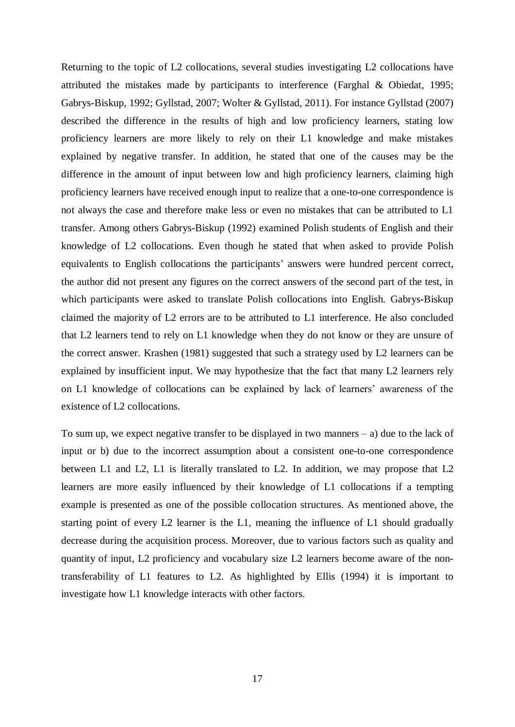Returning to the topic of L2 collocations, several studies investigating L2 collocations have attributed the mistakes made by participants to interference (Farghal & Obiedat, 1995; Gabrys-Biskup, 1992; Gyllstad, 2007; Wolter & Gyllstad, 2011). For instance Gyllstad (2007) described the difference in the results of high and low proficiency learners, stating low proficiency learners are more likely to rely on their L1 knowledge and make mistakes explained by negative transfer. In addition, he stated that one of the causes may be the difference in the amount of input between low and high proficiency learners, claiming high proficiency learners have received enough input to realize that a one-to-one correspondence is not always the case and therefore make less or even no mistakes that can be attributed to L1 transfer. Among others Gabrys-Biskup (1992) examined Polish students of English and their knowledge of L2 collocations. Even though he stated that when asked to provide Polish equivalents to English collocations the participants' answers were hundred percent correct, the author did not present any figures on the correct answers of the second part of the test, in which participants were asked to translate Polish collocations into English. Gabrys-Biskup claimed the majority of L2 errors are to be attributed to L1 interference. He also concluded that L2 learners tend to rely on L1 knowledge when they do not know or they are unsure of the correct answer. Krashen (1981) suggested that such a strategy used by L2 learners can be explained by insufficient input. We may hypothesize that the fact that many L2 learners rely on L1 knowledge of collocations can be explained by lack of learners' awareness of the existence of L2 collocations.

To sum up, we expect negative transfer to be displayed in two manners – a) due to the lack of input or b) due to the incorrect assumption about a consistent one-to-one correspondence between L1 and L2, L1 is literally translated to L2. In addition, we may propose that L2 learners are more easily influenced by their knowledge of L1 collocations if a tempting example is presented as one of the possible collocation structures. As mentioned above, the starting point of every L2 learner is the L1, meaning the influence of L1 should gradually decrease during the acquisition process. Moreover, due to various factors such as quality and quantity of input, L2 proficiency and vocabulary size L2 learners become aware of the nontransferability of L1 features to L2. As highlighted by Ellis (1994) it is important to investigate how L1 knowledge interacts with other factors.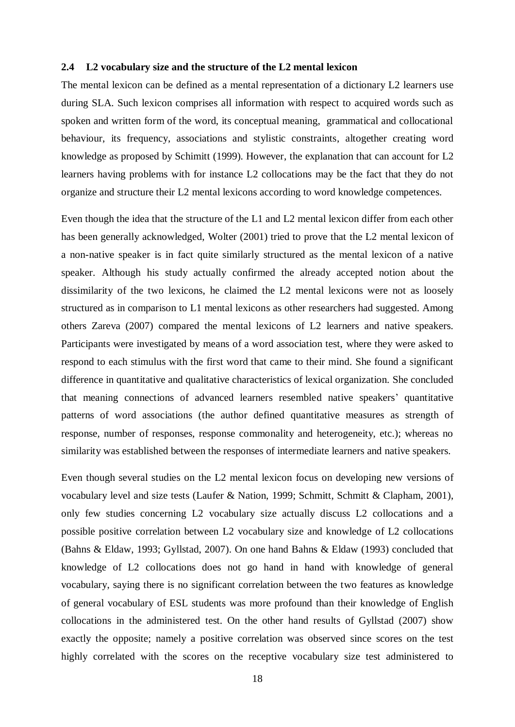#### <span id="page-17-0"></span>**2.4 L2 vocabulary size and the structure of the L2 mental lexicon**

The mental lexicon can be defined as a mental representation of a dictionary L2 learners use during SLA. Such lexicon comprises all information with respect to acquired words such as spoken and written form of the word, its conceptual meaning, grammatical and collocational behaviour, its frequency, associations and stylistic constraints, altogether creating word knowledge as proposed by Schimitt (1999). However, the explanation that can account for L2 learners having problems with for instance L2 collocations may be the fact that they do not organize and structure their L2 mental lexicons according to word knowledge competences.

Even though the idea that the structure of the L1 and L2 mental lexicon differ from each other has been generally acknowledged, Wolter (2001) tried to prove that the L2 mental lexicon of a non-native speaker is in fact quite similarly structured as the mental lexicon of a native speaker. Although his study actually confirmed the already accepted notion about the dissimilarity of the two lexicons, he claimed the L2 mental lexicons were not as loosely structured as in comparison to L1 mental lexicons as other researchers had suggested. Among others Zareva (2007) compared the mental lexicons of L2 learners and native speakers. Participants were investigated by means of a word association test, where they were asked to respond to each stimulus with the first word that came to their mind. She found a significant difference in quantitative and qualitative characteristics of lexical organization. She concluded that meaning connections of advanced learners resembled native speakers' quantitative patterns of word associations (the author defined quantitative measures as strength of response, number of responses, response commonality and heterogeneity, etc.); whereas no similarity was established between the responses of intermediate learners and native speakers.

Even though several studies on the L2 mental lexicon focus on developing new versions of vocabulary level and size tests (Laufer & Nation, 1999; Schmitt, Schmitt & Clapham, 2001), only few studies concerning L2 vocabulary size actually discuss L2 collocations and a possible positive correlation between L2 vocabulary size and knowledge of L2 collocations (Bahns & Eldaw, 1993; Gyllstad, 2007). On one hand Bahns & Eldaw (1993) concluded that knowledge of L2 collocations does not go hand in hand with knowledge of general vocabulary, saying there is no significant correlation between the two features as knowledge of general vocabulary of ESL students was more profound than their knowledge of English collocations in the administered test. On the other hand results of Gyllstad (2007) show exactly the opposite; namely a positive correlation was observed since scores on the test highly correlated with the scores on the receptive vocabulary size test administered to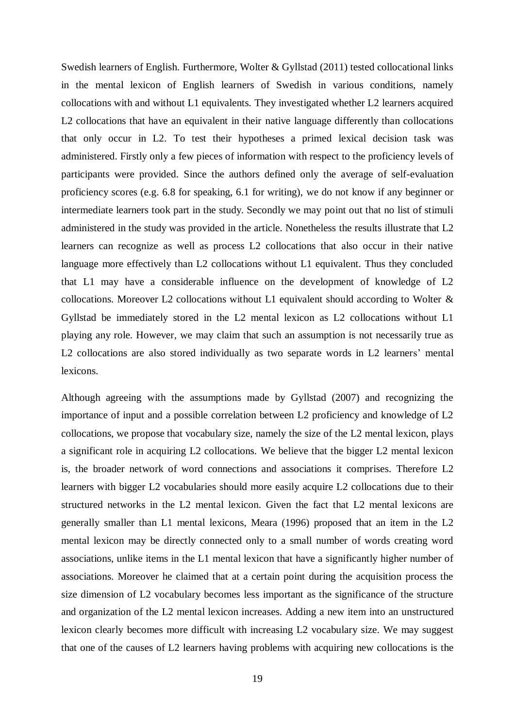Swedish learners of English. Furthermore, Wolter & Gyllstad (2011) tested collocational links in the mental lexicon of English learners of Swedish in various conditions, namely collocations with and without L1 equivalents. They investigated whether L2 learners acquired L<sub>2</sub> collocations that have an equivalent in their native language differently than collocations that only occur in L2. To test their hypotheses a primed lexical decision task was administered. Firstly only a few pieces of information with respect to the proficiency levels of participants were provided. Since the authors defined only the average of self-evaluation proficiency scores (e.g. 6.8 for speaking, 6.1 for writing), we do not know if any beginner or intermediate learners took part in the study. Secondly we may point out that no list of stimuli administered in the study was provided in the article. Nonetheless the results illustrate that L2 learners can recognize as well as process L2 collocations that also occur in their native language more effectively than L2 collocations without L1 equivalent. Thus they concluded that L1 may have a considerable influence on the development of knowledge of L2 collocations. Moreover L2 collocations without L1 equivalent should according to Wolter & Gyllstad be immediately stored in the L2 mental lexicon as L2 collocations without L1 playing any role. However, we may claim that such an assumption is not necessarily true as L2 collocations are also stored individually as two separate words in L2 learners' mental lexicons.

Although agreeing with the assumptions made by Gyllstad (2007) and recognizing the importance of input and a possible correlation between L2 proficiency and knowledge of L2 collocations, we propose that vocabulary size, namely the size of the L2 mental lexicon, plays a significant role in acquiring L2 collocations. We believe that the bigger L2 mental lexicon is, the broader network of word connections and associations it comprises. Therefore L2 learners with bigger L2 vocabularies should more easily acquire L2 collocations due to their structured networks in the L2 mental lexicon. Given the fact that L2 mental lexicons are generally smaller than L1 mental lexicons, Meara (1996) proposed that an item in the L2 mental lexicon may be directly connected only to a small number of words creating word associations, unlike items in the L1 mental lexicon that have a significantly higher number of associations. Moreover he claimed that at a certain point during the acquisition process the size dimension of L2 vocabulary becomes less important as the significance of the structure and organization of the L2 mental lexicon increases. Adding a new item into an unstructured lexicon clearly becomes more difficult with increasing L2 vocabulary size. We may suggest that one of the causes of L2 learners having problems with acquiring new collocations is the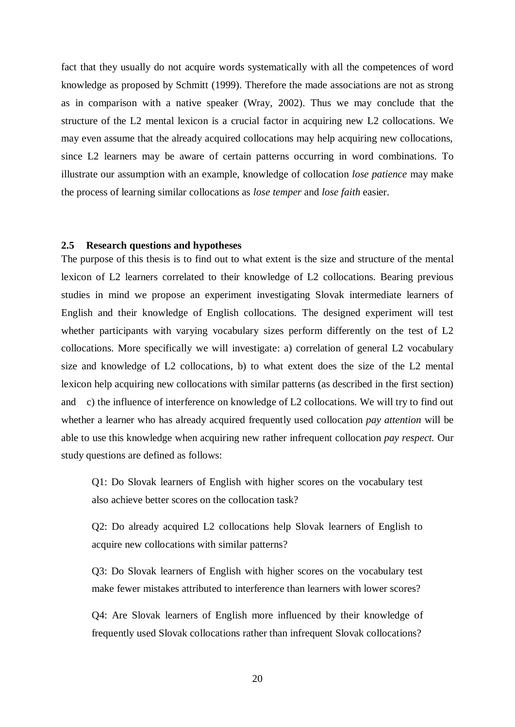fact that they usually do not acquire words systematically with all the competences of word knowledge as proposed by Schmitt (1999). Therefore the made associations are not as strong as in comparison with a native speaker (Wray, 2002). Thus we may conclude that the structure of the L2 mental lexicon is a crucial factor in acquiring new L2 collocations. We may even assume that the already acquired collocations may help acquiring new collocations, since L2 learners may be aware of certain patterns occurring in word combinations. To illustrate our assumption with an example, knowledge of collocation *lose patience* may make the process of learning similar collocations as *lose temper* and *lose faith* easier.

#### <span id="page-19-0"></span>**2.5 Research questions and hypotheses**

The purpose of this thesis is to find out to what extent is the size and structure of the mental lexicon of L2 learners correlated to their knowledge of L2 collocations. Bearing previous studies in mind we propose an experiment investigating Slovak intermediate learners of English and their knowledge of English collocations. The designed experiment will test whether participants with varying vocabulary sizes perform differently on the test of L2 collocations. More specifically we will investigate: a) correlation of general L2 vocabulary size and knowledge of L2 collocations, b) to what extent does the size of the L2 mental lexicon help acquiring new collocations with similar patterns (as described in the first section) and c) the influence of interference on knowledge of L2 collocations. We will try to find out whether a learner who has already acquired frequently used collocation *pay attention* will be able to use this knowledge when acquiring new rather infrequent collocation *pay respect.* Our study questions are defined as follows:

Q1: Do Slovak learners of English with higher scores on the vocabulary test also achieve better scores on the collocation task?

Q2: Do already acquired L2 collocations help Slovak learners of English to acquire new collocations with similar patterns?

Q3: Do Slovak learners of English with higher scores on the vocabulary test make fewer mistakes attributed to interference than learners with lower scores?

Q4: Are Slovak learners of English more influenced by their knowledge of frequently used Slovak collocations rather than infrequent Slovak collocations?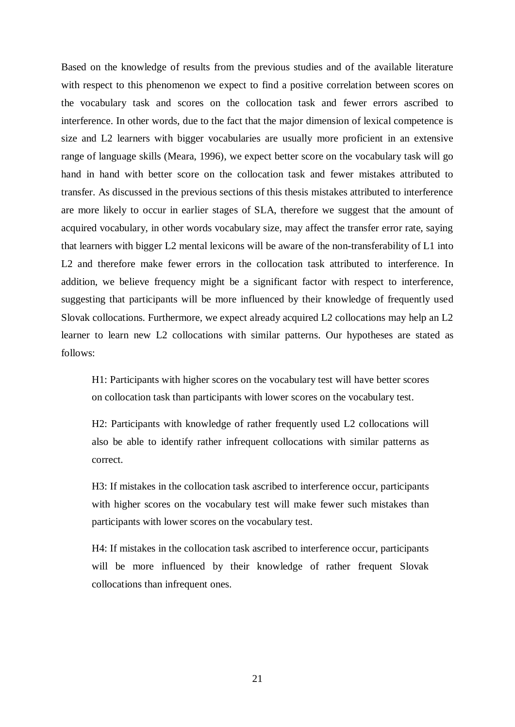Based on the knowledge of results from the previous studies and of the available literature with respect to this phenomenon we expect to find a positive correlation between scores on the vocabulary task and scores on the collocation task and fewer errors ascribed to interference. In other words, due to the fact that the major dimension of lexical competence is size and L2 learners with bigger vocabularies are usually more proficient in an extensive range of language skills (Meara, 1996), we expect better score on the vocabulary task will go hand in hand with better score on the collocation task and fewer mistakes attributed to transfer. As discussed in the previous sections of this thesis mistakes attributed to interference are more likely to occur in earlier stages of SLA, therefore we suggest that the amount of acquired vocabulary, in other words vocabulary size, may affect the transfer error rate, saying that learners with bigger L2 mental lexicons will be aware of the non-transferability of L1 into L2 and therefore make fewer errors in the collocation task attributed to interference. In addition, we believe frequency might be a significant factor with respect to interference, suggesting that participants will be more influenced by their knowledge of frequently used Slovak collocations. Furthermore, we expect already acquired L2 collocations may help an L2 learner to learn new L2 collocations with similar patterns. Our hypotheses are stated as follows:

H1: Participants with higher scores on the vocabulary test will have better scores on collocation task than participants with lower scores on the vocabulary test.

H2: Participants with knowledge of rather frequently used L2 collocations will also be able to identify rather infrequent collocations with similar patterns as correct.

H3: If mistakes in the collocation task ascribed to interference occur, participants with higher scores on the vocabulary test will make fewer such mistakes than participants with lower scores on the vocabulary test.

H4: If mistakes in the collocation task ascribed to interference occur, participants will be more influenced by their knowledge of rather frequent Slovak collocations than infrequent ones.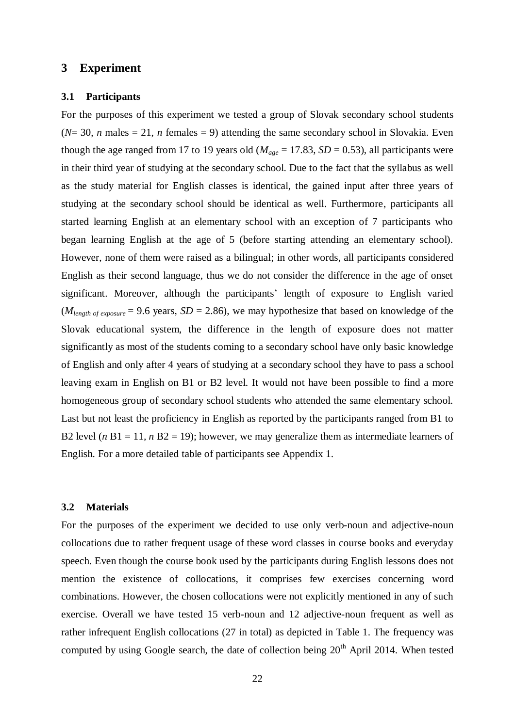# <span id="page-21-0"></span>**3 Experiment**

#### <span id="page-21-1"></span>**3.1 Participants**

For the purposes of this experiment we tested a group of Slovak secondary school students  $(N=30, n \text{ males} = 21, n \text{ females} = 9)$  attending the same secondary school in Slovakia. Even though the age ranged from 17 to 19 years old ( $M_{age} = 17.83$ ,  $SD = 0.53$ ), all participants were in their third year of studying at the secondary school. Due to the fact that the syllabus as well as the study material for English classes is identical, the gained input after three years of studying at the secondary school should be identical as well. Furthermore, participants all started learning English at an elementary school with an exception of 7 participants who began learning English at the age of 5 (before starting attending an elementary school). However, none of them were raised as a bilingual; in other words, all participants considered English as their second language, thus we do not consider the difference in the age of onset significant. Moreover, although the participants' length of exposure to English varied  $(M_{length of exposure} = 9.6 \text{ years}, SD = 2.86)$ , we may hypothesize that based on knowledge of the Slovak educational system, the difference in the length of exposure does not matter significantly as most of the students coming to a secondary school have only basic knowledge of English and only after 4 years of studying at a secondary school they have to pass a school leaving exam in English on B1 or B2 level. It would not have been possible to find a more homogeneous group of secondary school students who attended the same elementary school. Last but not least the proficiency in English as reported by the participants ranged from B1 to B2 level ( $n B1 = 11$ ,  $n B2 = 19$ ); however, we may generalize them as intermediate learners of English. For a more detailed table of participants see Appendix 1.

#### <span id="page-21-2"></span>**3.2 Materials**

For the purposes of the experiment we decided to use only verb-noun and adjective-noun collocations due to rather frequent usage of these word classes in course books and everyday speech. Even though the course book used by the participants during English lessons does not mention the existence of collocations, it comprises few exercises concerning word combinations. However, the chosen collocations were not explicitly mentioned in any of such exercise. Overall we have tested 15 verb-noun and 12 adjective-noun frequent as well as rather infrequent English collocations (27 in total) as depicted in Table 1. The frequency was computed by using Google search, the date of collection being 20<sup>th</sup> April 2014. When tested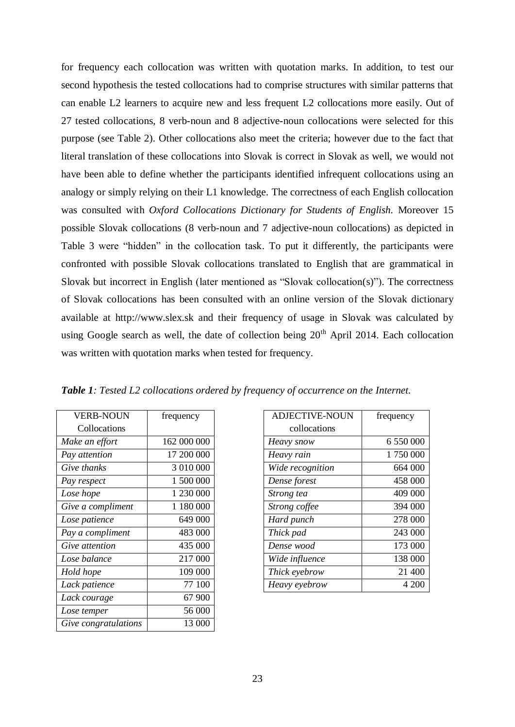for frequency each collocation was written with quotation marks. In addition, to test our second hypothesis the tested collocations had to comprise structures with similar patterns that can enable L2 learners to acquire new and less frequent L2 collocations more easily. Out of 27 tested collocations, 8 verb-noun and 8 adjective-noun collocations were selected for this purpose (see Table 2). Other collocations also meet the criteria; however due to the fact that literal translation of these collocations into Slovak is correct in Slovak as well, we would not have been able to define whether the participants identified infrequent collocations using an analogy or simply relying on their L1 knowledge. The correctness of each English collocation was consulted with *Oxford Collocations Dictionary for Students of English.* Moreover 15 possible Slovak collocations (8 verb-noun and 7 adjective-noun collocations) as depicted in Table 3 were "hidden" in the collocation task. To put it differently, the participants were confronted with possible Slovak collocations translated to English that are grammatical in Slovak but incorrect in English (later mentioned as "Slovak collocation(s)"). The correctness of Slovak collocations has been consulted with an online version of the Slovak dictionary available at http:/[/www.slex.sk](http://www.slex.sk/) and their frequency of usage in Slovak was calculated by using Google search as well, the date of collection being 20<sup>th</sup> April 2014. Each collocation was written with quotation marks when tested for frequency.

| <b>VERB-NOUN</b>      | frequency   |
|-----------------------|-------------|
| Collocations          |             |
| Make an effort        | 162 000 000 |
| Pay attention         | 17 200 000  |
| Give thanks           | 3 010 000   |
| Pay respect           | 1 500 000   |
| Lose hope             | 1 230 000   |
| Give a compliment     | 1 180 000   |
| Lose patience         | 649 000     |
| Pay a compliment      | 483 000     |
| <i>Give attention</i> | 435 000     |
| Lose balance          | 217 000     |
| Hold hope             | 109 000     |
| Lack patience         | 77 100      |
| Lack courage          | 67 900      |
| Lose temper           | 56 000      |
| Give congratulations  | 13 000      |

*Table 1: Tested L2 collocations ordered by frequency of occurrence on the Internet.* 

| <b>VERB-NOUN</b>  | frequency   | <b>ADJECTIVE-NOUN</b> | frequency |
|-------------------|-------------|-----------------------|-----------|
| Collocations      |             | collocations          |           |
| Make an effort    | 162 000 000 | Heavy snow            | 6 550 000 |
| Pay attention     | 17 200 000  | Heavy rain            | 1750000   |
| Give thanks       | 3 010 000   | Wide recognition      | 664 000   |
| Pay respect       | 1 500 000   | Dense forest          | 458 000   |
| Lose hope         | 1 230 000   | Strong tea            | 409 000   |
| Give a compliment | 1 180 000   | Strong coffee         | 394 000   |
| Lose patience     | 649 000     | Hard punch            | 278 000   |
| Pay a compliment  | 483 000     | Thick pad             | 243 000   |
| Give attention    | 435 000     | Dense wood            | 173 000   |
| Lose balance      | 217 000     | Wide influence        | 138 000   |
| Hold hope         | 109 000     | Thick eyebrow         | 21 400    |
| Lack patience     | 77 100      | Heavy eyebrow         | 4 200     |
|                   |             |                       |           |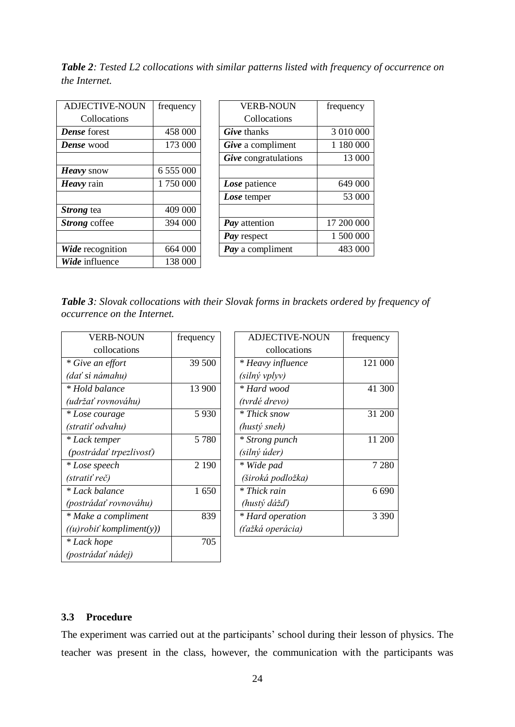*Table 2: Tested L2 collocations with similar patterns listed with frequency of occurrence on the Internet.* 

| <b>ADJECTIVE-NOUN</b> | frequency |
|-----------------------|-----------|
| Collocations          |           |
| <b>Dense</b> forest   | 458 000   |
| <b>Dense</b> wood     | 173 000   |
|                       |           |
| Heavy snow            | 6 555 000 |
| Heavy rain            | 1750000   |
|                       |           |
| <i>Strong</i> tea     | 409 000   |
| <i>Strong</i> coffee  | 394 000   |
|                       |           |
| Wide recognition      | 664 000   |
| Wide influence        | 138 000   |

| ADJECTIVE-NOUN      | frequency | <b>VERB-NOUN</b>        | frequency  |
|---------------------|-----------|-------------------------|------------|
| Collocations        |           | Collocations            |            |
| <b>Dense</b> forest | 458 000   | <b>Give</b> thanks      | 3 010 000  |
| Dense wood          | 173 000   | Give a compliment       | 1 180 000  |
|                     |           | Give congratulations    | 13 000     |
| Heavy snow          | 6 555 000 |                         |            |
| Heavy rain          | 1750000   | Lose patience           | 649 000    |
|                     |           | Lose temper             | 53 000     |
| Strong tea          | 409 000   |                         |            |
| Strong coffee       | 394 000   | Pay attention           | 17 200 000 |
|                     |           | Pay respect             | 1 500 000  |
| Wide recognition    | 664 000   | <b>Pay</b> a compliment | 483 000    |

*Table 3: Slovak collocations with their Slovak forms in brackets ordered by frequency of occurrence on the Internet.* 

| <b>VERB-NOUN</b>                | frequency |
|---------------------------------|-----------|
| collocations                    |           |
| * Give an effort                | 39 500    |
| (dať si námahu)                 |           |
| * Hold balance                  | 13 900    |
| (udržať rovnováhu)              |           |
| * Lose courage                  | 5930      |
| (stratiť odvahu)                |           |
| * Lack temper                   | 5780      |
| (postrádať trpezlivosť)         |           |
| * Lose speech                   | 2 1 9 0   |
| (stratiť reč)                   |           |
| * Lack balance                  | 1650      |
| (postrádať rovnováhu)           |           |
| * Make a compliment             | 839       |
| $((u)$ robiť kompliment $(y)$ ) |           |
| * Lack hope                     | 705       |
| (postrádať nádej)               |           |

| frequency | ADJECTIVE-NOUN    | frequency |
|-----------|-------------------|-----------|
|           | collocations      |           |
| 39 500    | * Heavy influence | 121 000   |
|           | (silný vplyv)     |           |
| 13 900    | * Hard wood       | 41 300    |
|           | (tvrdé drevo)     |           |
| 5930      | * Thick snow      | 31 200    |
|           | (hustý sneh)      |           |
| 5 7 8 0   | * Strong punch    | 11 200    |
|           | (silný úder)      |           |
| 2 1 9 0   | * Wide pad        | 7 2 8 0   |
|           | (široká podložka) |           |
| 1650      | * Thick rain      | 6 690     |
|           | (hustý dážď)      |           |
| 839       | * Hard operation  | 3 3 9 0   |
|           | (ťažká operácia)  |           |
|           |                   |           |

## <span id="page-23-0"></span>**3.3 Procedure**

The experiment was carried out at the participants' school during their lesson of physics. The teacher was present in the class, however, the communication with the participants was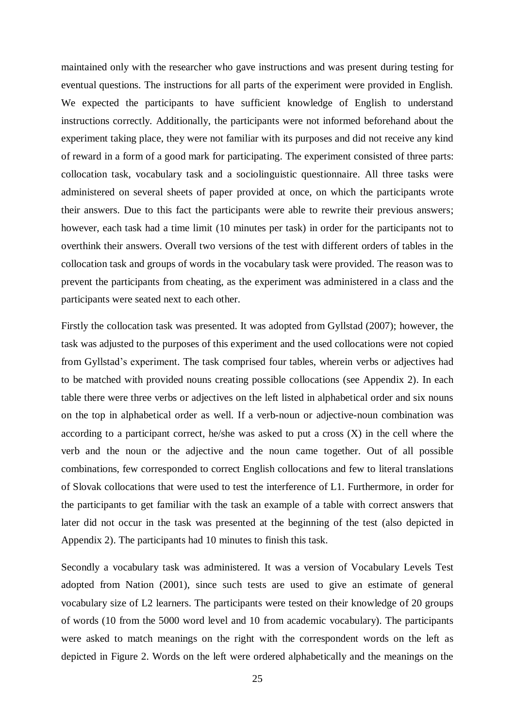maintained only with the researcher who gave instructions and was present during testing for eventual questions. The instructions for all parts of the experiment were provided in English. We expected the participants to have sufficient knowledge of English to understand instructions correctly. Additionally, the participants were not informed beforehand about the experiment taking place, they were not familiar with its purposes and did not receive any kind of reward in a form of a good mark for participating. The experiment consisted of three parts: collocation task, vocabulary task and a sociolinguistic questionnaire. All three tasks were administered on several sheets of paper provided at once, on which the participants wrote their answers. Due to this fact the participants were able to rewrite their previous answers; however, each task had a time limit (10 minutes per task) in order for the participants not to overthink their answers. Overall two versions of the test with different orders of tables in the collocation task and groups of words in the vocabulary task were provided. The reason was to prevent the participants from cheating, as the experiment was administered in a class and the participants were seated next to each other.

Firstly the collocation task was presented. It was adopted from Gyllstad (2007); however, the task was adjusted to the purposes of this experiment and the used collocations were not copied from Gyllstad's experiment. The task comprised four tables, wherein verbs or adjectives had to be matched with provided nouns creating possible collocations (see Appendix 2). In each table there were three verbs or adjectives on the left listed in alphabetical order and six nouns on the top in alphabetical order as well. If a verb-noun or adjective-noun combination was according to a participant correct, he/she was asked to put a cross  $(X)$  in the cell where the verb and the noun or the adjective and the noun came together. Out of all possible combinations, few corresponded to correct English collocations and few to literal translations of Slovak collocations that were used to test the interference of L1. Furthermore, in order for the participants to get familiar with the task an example of a table with correct answers that later did not occur in the task was presented at the beginning of the test (also depicted in Appendix 2). The participants had 10 minutes to finish this task.

Secondly a vocabulary task was administered. It was a version of Vocabulary Levels Test adopted from Nation (2001), since such tests are used to give an estimate of general vocabulary size of L2 learners. The participants were tested on their knowledge of 20 groups of words (10 from the 5000 word level and 10 from academic vocabulary). The participants were asked to match meanings on the right with the correspondent words on the left as depicted in Figure 2. Words on the left were ordered alphabetically and the meanings on the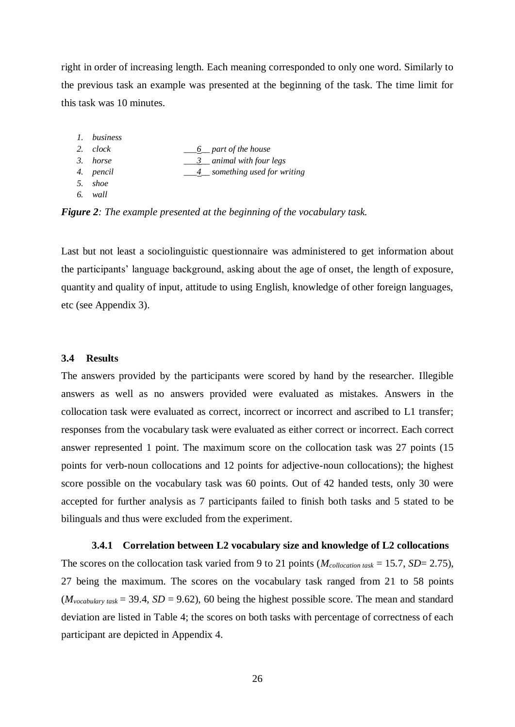right in order of increasing length. Each meaning corresponded to only one word. Similarly to the previous task an example was presented at the beginning of the task. The time limit for this task was 10 minutes.

| 1. business |                              |
|-------------|------------------------------|
| 2. clock    | <u>6</u> part of the house   |
| 3. horse    | 3 animal with four legs      |
| 4. pencil   | 4 something used for writing |
| 5. shoe     |                              |
| 6. wall     |                              |
|             |                              |

*Figure 2: The example presented at the beginning of the vocabulary task.* 

Last but not least a sociolinguistic questionnaire was administered to get information about the participants' language background, asking about the age of onset, the length of exposure, quantity and quality of input, attitude to using English, knowledge of other foreign languages, etc (see Appendix 3).

#### <span id="page-25-0"></span>**3.4 Results**

The answers provided by the participants were scored by hand by the researcher. Illegible answers as well as no answers provided were evaluated as mistakes. Answers in the collocation task were evaluated as correct, incorrect or incorrect and ascribed to L1 transfer; responses from the vocabulary task were evaluated as either correct or incorrect. Each correct answer represented 1 point. The maximum score on the collocation task was 27 points (15 points for verb-noun collocations and 12 points for adjective-noun collocations); the highest score possible on the vocabulary task was 60 points. Out of 42 handed tests, only 30 were accepted for further analysis as 7 participants failed to finish both tasks and 5 stated to be bilinguals and thus were excluded from the experiment.

#### **3.4.1 Correlation between L2 vocabulary size and knowledge of L2 collocations**

<span id="page-25-1"></span>The scores on the collocation task varied from 9 to 21 points ( $M_{\text{collocation task}} = 15.7$ ,  $SD = 2.75$ ), 27 being the maximum. The scores on the vocabulary task ranged from 21 to 58 points  $(M_{vocabulary task} = 39.4, SD = 9.62)$ , 60 being the highest possible score. The mean and standard deviation are listed in Table 4; the scores on both tasks with percentage of correctness of each participant are depicted in Appendix 4.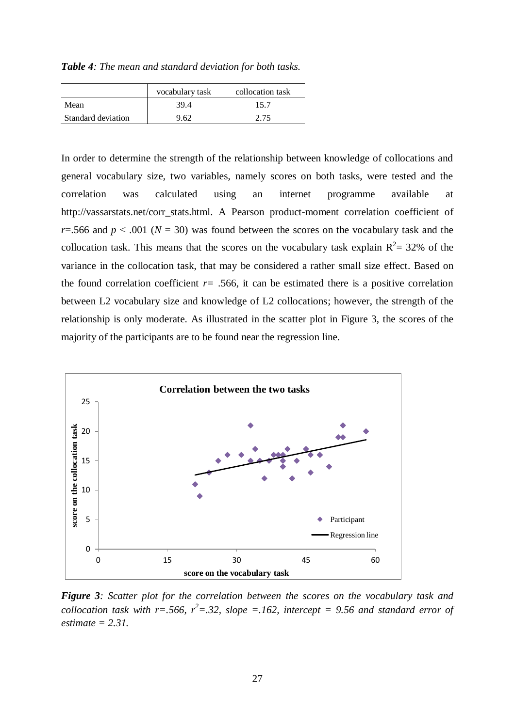*Table 4: The mean and standard deviation for both tasks.*

|                    | vocabulary task | collocation task |
|--------------------|-----------------|------------------|
| Mean               | 39.4            | 15.7             |
| Standard deviation | 9.62            | 2.75             |

In order to determine the strength of the relationship between knowledge of collocations and general vocabulary size, two variables, namely scores on both tasks, were tested and the correlation was calculated using an internet programme available at [http://vassarstats.net/corr\\_stats.html.](http://vassarstats.net/corr_stats.html) A Pearson product-moment correlation coefficient of *r*=.566 and  $p < .001$  ( $N = 30$ ) was found between the scores on the vocabulary task and the collocation task. This means that the scores on the vocabulary task explain  $R^2 = 32\%$  of the variance in the collocation task, that may be considered a rather small size effect. Based on the found correlation coefficient  $r= .566$ , it can be estimated there is a positive correlation between L2 vocabulary size and knowledge of L2 collocations; however, the strength of the relationship is only moderate. As illustrated in the scatter plot in Figure 3, the scores of the majority of the participants are to be found near the regression line.



*Figure 3: Scatter plot for the correlation between the scores on the vocabulary task and collocation task with r=.566, r<sup>2</sup>=.32, slope =.162, intercept = 9.56 and standard error of estimate = 2.31.*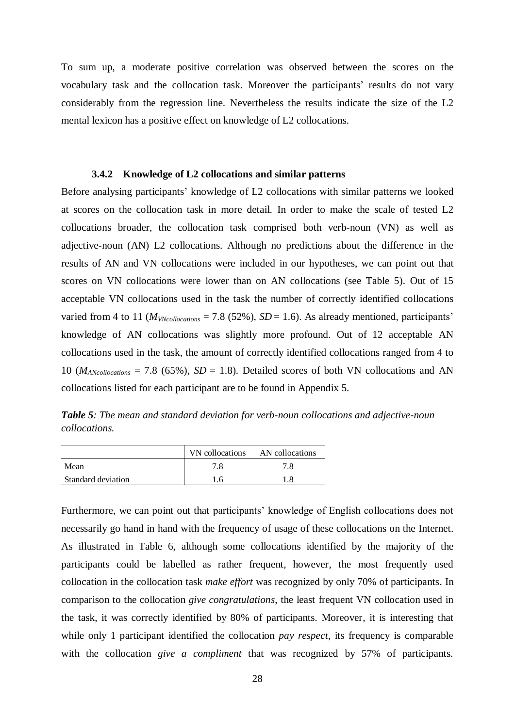To sum up, a moderate positive correlation was observed between the scores on the vocabulary task and the collocation task. Moreover the participants' results do not vary considerably from the regression line. Nevertheless the results indicate the size of the L2 mental lexicon has a positive effect on knowledge of L2 collocations.

#### **3.4.2 Knowledge of L2 collocations and similar patterns**

<span id="page-27-0"></span>Before analysing participants' knowledge of L2 collocations with similar patterns we looked at scores on the collocation task in more detail. In order to make the scale of tested L2 collocations broader, the collocation task comprised both verb-noun (VN) as well as adjective-noun (AN) L2 collocations. Although no predictions about the difference in the results of AN and VN collocations were included in our hypotheses, we can point out that scores on VN collocations were lower than on AN collocations (see Table 5). Out of 15 acceptable VN collocations used in the task the number of correctly identified collocations varied from 4 to 11 ( $M_{VN\text{collocations}}$  = 7.8 (52%), *SD* = 1.6). As already mentioned, participants' knowledge of AN collocations was slightly more profound. Out of 12 acceptable AN collocations used in the task, the amount of correctly identified collocations ranged from 4 to 10 ( $M_{\text{AN} \text{collocations}} = 7.8$  (65%),  $SD = 1.8$ ). Detailed scores of both VN collocations and AN collocations listed for each participant are to be found in Appendix 5.

*Table 5: The mean and standard deviation for verb-noun collocations and adjective-noun collocations.*

|                    | VN collocations | AN collocations |
|--------------------|-----------------|-----------------|
| Mean               | 7.8             | 7.8             |
| Standard deviation | 16              | 1.8             |

Furthermore, we can point out that participants' knowledge of English collocations does not necessarily go hand in hand with the frequency of usage of these collocations on the Internet. As illustrated in Table 6, although some collocations identified by the majority of the participants could be labelled as rather frequent, however, the most frequently used collocation in the collocation task *make effort* was recognized by only 70% of participants. In comparison to the collocation *give congratulations*, the least frequent VN collocation used in the task, it was correctly identified by 80% of participants. Moreover, it is interesting that while only 1 participant identified the collocation *pay respect,* its frequency is comparable with the collocation *give a compliment* that was recognized by 57% of participants.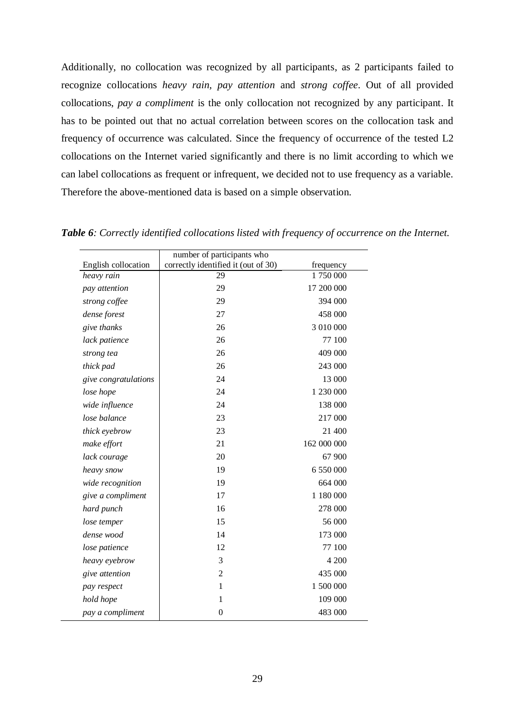Additionally, no collocation was recognized by all participants, as 2 participants failed to recognize collocations *heavy rain, pay attention* and *strong coffee*. Out of all provided collocations, *pay a compliment* is the only collocation not recognized by any participant. It has to be pointed out that no actual correlation between scores on the collocation task and frequency of occurrence was calculated. Since the frequency of occurrence of the tested L2 collocations on the Internet varied significantly and there is no limit according to which we can label collocations as frequent or infrequent, we decided not to use frequency as a variable. Therefore the above-mentioned data is based on a simple observation.

|                      | number of participants who          |             |
|----------------------|-------------------------------------|-------------|
| English collocation  | correctly identified it (out of 30) | frequency   |
| heavy rain           | 29                                  | 1750000     |
| pay attention        | 29                                  | 17 200 000  |
| strong coffee        | 29                                  | 394 000     |
| dense forest         | 27                                  | 458 000     |
| give thanks          | 26                                  | 3 010 000   |
| lack patience        | 26                                  | 77 100      |
| strong tea           | 26                                  | 409 000     |
| thick pad            | 26                                  | 243 000     |
| give congratulations | 24                                  | 13 000      |
| lose hope            | 24                                  | 1 230 000   |
| wide influence       | 24                                  | 138 000     |
| lose balance         | 23                                  | 217 000     |
| thick eyebrow        | 23                                  | 21 400      |
| make effort          | 21                                  | 162 000 000 |
| lack courage         | 20                                  | 67 900      |
| heavy snow           | 19                                  | 6 550 000   |
| wide recognition     | 19                                  | 664 000     |
| give a compliment    | 17                                  | 1 180 000   |
| hard punch           | 16                                  | 278 000     |
| lose temper          | 15                                  | 56 000      |
| dense wood           | 14                                  | 173 000     |
| lose patience        | 12                                  | 77 100      |
| heavy eyebrow        | 3                                   | 4 200       |
| give attention       | $\overline{2}$                      | 435 000     |
| pay respect          | 1                                   | 1 500 000   |
| hold hope            | 1                                   | 109 000     |
| pay a compliment     | $\boldsymbol{0}$                    | 483 000     |

*Table 6: Correctly identified collocations listed with frequency of occurrence on the Internet.*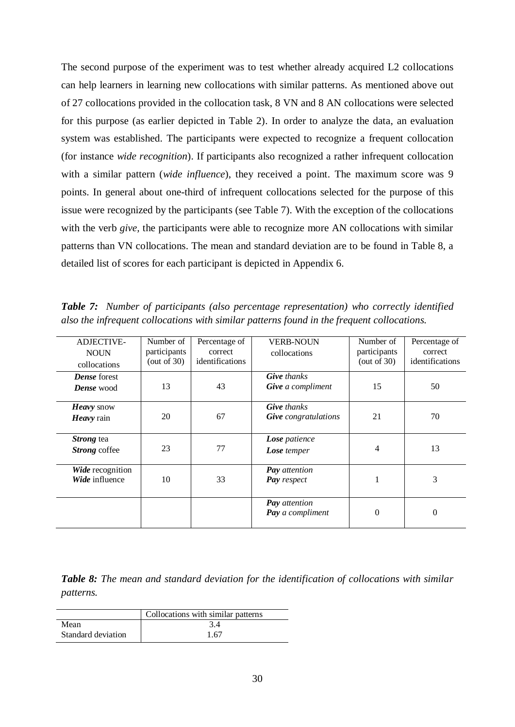The second purpose of the experiment was to test whether already acquired L2 collocations can help learners in learning new collocations with similar patterns. As mentioned above out of 27 collocations provided in the collocation task, 8 VN and 8 AN collocations were selected for this purpose (as earlier depicted in Table 2). In order to analyze the data, an evaluation system was established. The participants were expected to recognize a frequent collocation (for instance *wide recognition*). If participants also recognized a rather infrequent collocation with a similar pattern (*wide influence*), they received a point. The maximum score was 9 points. In general about one-third of infrequent collocations selected for the purpose of this issue were recognized by the participants (see Table 7). With the exception of the collocations with the verb *give*, the participants were able to recognize more AN collocations with similar patterns than VN collocations. The mean and standard deviation are to be found in Table 8, a detailed list of scores for each participant is depicted in Appendix 6.

*Table 7: Number of participants (also percentage representation) who correctly identified also the infrequent collocations with similar patterns found in the frequent collocations.*

| <b>ADJECTIVE-</b>   | Number of      | Percentage of   | <b>VERB-NOUN</b>            | Number of    | Percentage of   |
|---------------------|----------------|-----------------|-----------------------------|--------------|-----------------|
| <b>NOUN</b>         | participants   | correct         | collocations                | participants | correct         |
| collocations        | (out of $30$ ) | identifications |                             | (out of 30)  | identifications |
| <b>Dense</b> forest |                |                 | <b>Give</b> thanks          |              |                 |
| <b>Dense</b> wood   | 13             | 43              | Give a compliment           | 15           | 50              |
| Heavy snow          |                |                 | <b>Give</b> thanks          |              |                 |
| Heavy rain          | 20             | 67              | <b>Give</b> congratulations | 21           | 70              |
|                     |                |                 |                             |              |                 |
| Strong tea          |                |                 | Lose patience               |              |                 |
| Strong coffee       | 23             | 77              | <b>Lose</b> temper          | 4            | 13              |
|                     |                |                 |                             |              |                 |
| Wide recognition    |                |                 | <b>Pay</b> attention        |              |                 |
| Wide influence      | 10             | 33              | Pay respect                 |              | 3               |
|                     |                |                 |                             |              |                 |
|                     |                |                 | <b>Pay</b> attention        |              |                 |
|                     |                |                 | Pay a compliment            | 0            | $\theta$        |
|                     |                |                 |                             |              |                 |

*Table 8: The mean and standard deviation for the identification of collocations with similar patterns.*

|                    | Collocations with similar patterns |
|--------------------|------------------------------------|
| Mean               | 3.4                                |
| Standard deviation | 1 67                               |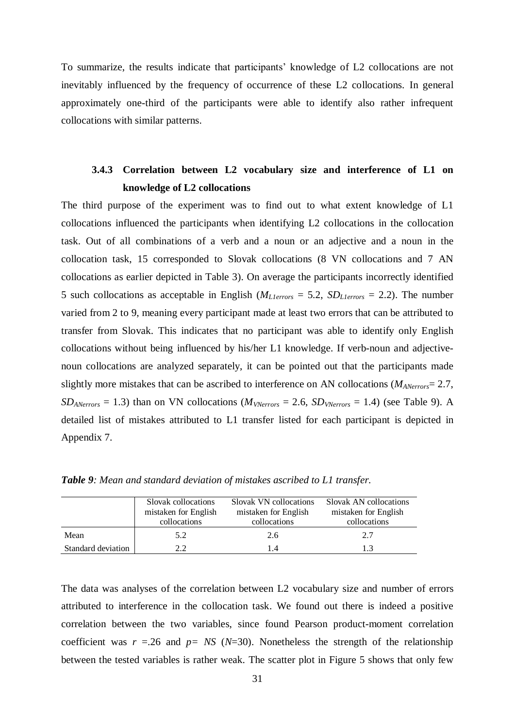To summarize, the results indicate that participants' knowledge of L2 collocations are not inevitably influenced by the frequency of occurrence of these L2 collocations. In general approximately one-third of the participants were able to identify also rather infrequent collocations with similar patterns.

# <span id="page-30-0"></span>**3.4.3 Correlation between L2 vocabulary size and interference of L1 on knowledge of L2 collocations**

The third purpose of the experiment was to find out to what extent knowledge of L1 collocations influenced the participants when identifying L2 collocations in the collocation task. Out of all combinations of a verb and a noun or an adjective and a noun in the collocation task, 15 corresponded to Slovak collocations (8 VN collocations and 7 AN collocations as earlier depicted in Table 3). On average the participants incorrectly identified 5 such collocations as acceptable in English (*ML1errors* = 5.2, *SDL1errors* = 2.2). The number varied from 2 to 9, meaning every participant made at least two errors that can be attributed to transfer from Slovak. This indicates that no participant was able to identify only English collocations without being influenced by his/her L1 knowledge. If verb-noun and adjectivenoun collocations are analyzed separately, it can be pointed out that the participants made slightly more mistakes that can be ascribed to interference on AN collocations (*MANerrors*= 2.7,  $SD_{ANerrors} = 1.3$ ) than on VN collocations ( $M_{VNerrors} = 2.6$ ,  $SD_{VNerrors} = 1.4$ ) (see Table 9). A detailed list of mistakes attributed to L1 transfer listed for each participant is depicted in Appendix 7.

|                    | Slovak collocations<br>mistaken for English<br>collocations | Slovak VN collocations<br>mistaken for English<br>collocations | Slovak AN collocations<br>mistaken for English<br>collocations |
|--------------------|-------------------------------------------------------------|----------------------------------------------------------------|----------------------------------------------------------------|
| Mean               | 5.2                                                         | 2.6                                                            | 2.7                                                            |
| Standard deviation | 22                                                          | 1.4                                                            | 13                                                             |

*Table 9: Mean and standard deviation of mistakes ascribed to L1 transfer.*

The data was analyses of the correlation between L2 vocabulary size and number of errors attributed to interference in the collocation task. We found out there is indeed a positive correlation between the two variables, since found Pearson product-moment correlation coefficient was  $r = 0.26$  and  $p = NS (N=30)$ . Nonetheless the strength of the relationship between the tested variables is rather weak. The scatter plot in Figure 5 shows that only few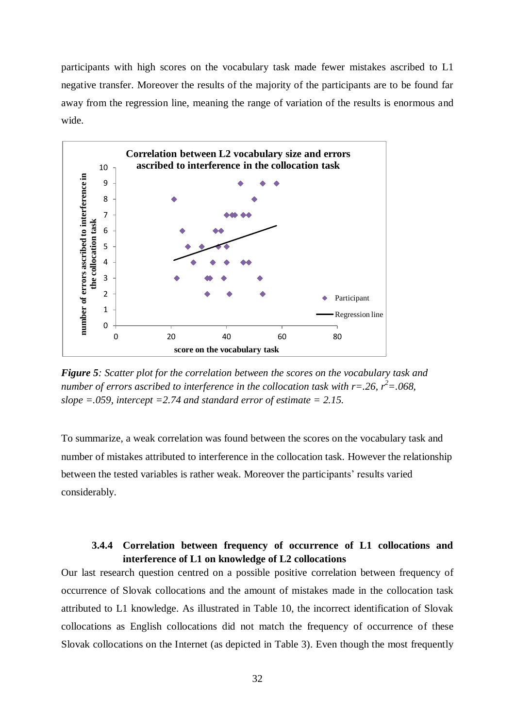participants with high scores on the vocabulary task made fewer mistakes ascribed to L1 negative transfer. Moreover the results of the majority of the participants are to be found far away from the regression line, meaning the range of variation of the results is enormous and wide.



*Figure 5: Scatter plot for the correlation between the scores on the vocabulary task and number of errors ascribed to interference in the collocation task with r=.26, r <sup>2</sup>=.068, slope =.059, intercept =2.74 and standard error of estimate = 2.15.*

To summarize, a weak correlation was found between the scores on the vocabulary task and number of mistakes attributed to interference in the collocation task. However the relationship between the tested variables is rather weak. Moreover the participants' results varied considerably.

# **3.4.4 Correlation between frequency of occurrence of L1 collocations and interference of L1 on knowledge of L2 collocations**

<span id="page-31-0"></span>Our last research question centred on a possible positive correlation between frequency of occurrence of Slovak collocations and the amount of mistakes made in the collocation task attributed to L1 knowledge. As illustrated in Table 10, the incorrect identification of Slovak collocations as English collocations did not match the frequency of occurrence of these Slovak collocations on the Internet (as depicted in Table 3). Even though the most frequently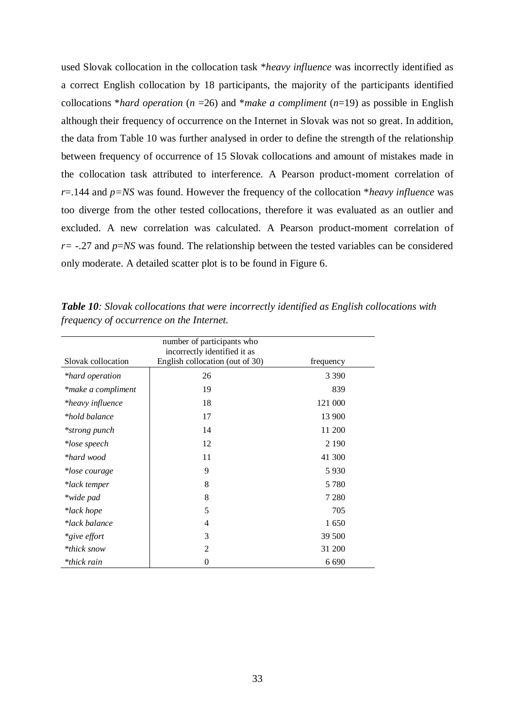used Slovak collocation in the collocation task \**heavy influence* was incorrectly identified as a correct English collocation by 18 participants, the majority of the participants identified collocations \**hard operation*  $(n = 26)$  and \**make a compliment*  $(n = 19)$  as possible in English although their frequency of occurrence on the Internet in Slovak was not so great. In addition, the data from Table 10 was further analysed in order to define the strength of the relationship between frequency of occurrence of 15 Slovak collocations and amount of mistakes made in the collocation task attributed to interference. A Pearson product-moment correlation of *r*=.144 and *p=NS* was found. However the frequency of the collocation \**heavy influence* was too diverge from the other tested collocations, therefore it was evaluated as an outlier and excluded. A new correlation was calculated. A Pearson product-moment correlation of *r=* -.27 and *p*=*NS* was found. The relationship between the tested variables can be considered only moderate. A detailed scatter plot is to be found in Figure 6.

|                    | number of participants who<br>incorrectly identified it as |           |
|--------------------|------------------------------------------------------------|-----------|
| Slovak collocation | English collocation (out of 30)                            | frequency |
| *hard operation    | 26                                                         | 3 3 9 0   |
| *make a compliment | 19                                                         | 839       |
| *heavy influence   | 18                                                         | 121 000   |
| *hold balance      | 17                                                         | 13 900    |
| *strong punch      | 14                                                         | 11 200    |
| *lose speech       | 12                                                         | 2 1 9 0   |
| *hard wood         | 11                                                         | 41 300    |
| *lose courage      | 9                                                          | 5930      |
| *lack temper       | 8                                                          | 5 7 8 0   |
| *wide pad          | 8                                                          | 7 2 8 0   |
| *lack hope         | 5                                                          | 705       |
| *lack balance      | $\overline{4}$                                             | 1650      |
| *give effort       | 3                                                          | 39 500    |
| *thick snow        | $\overline{2}$                                             | 31 200    |
| *thick rain        | $\overline{0}$                                             | 6 6 9 0   |

*Table 10: Slovak collocations that were incorrectly identified as English collocations with frequency of occurrence on the Internet.*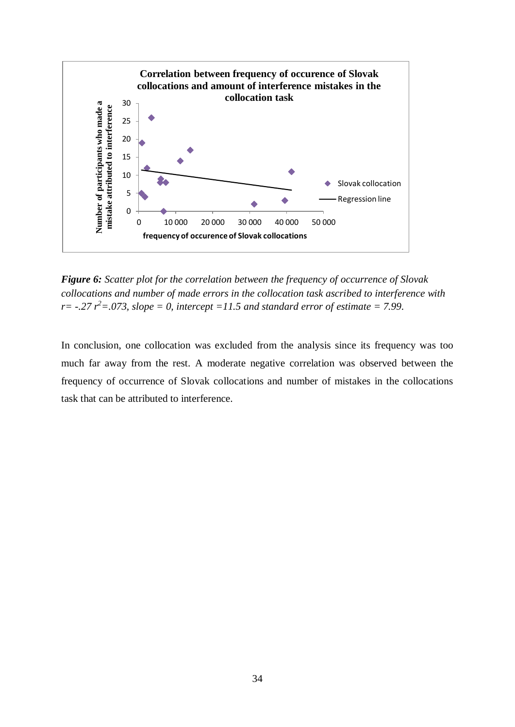

*Figure 6: Scatter plot for the correlation between the frequency of occurrence of Slovak collocations and number of made errors in the collocation task ascribed to interference with r* =  $-.27$   $r^2$  = 073, slope = 0, intercept = 11.5 and standard error of estimate = 7.99.

In conclusion, one collocation was excluded from the analysis since its frequency was too much far away from the rest. A moderate negative correlation was observed between the frequency of occurrence of Slovak collocations and number of mistakes in the collocations task that can be attributed to interference.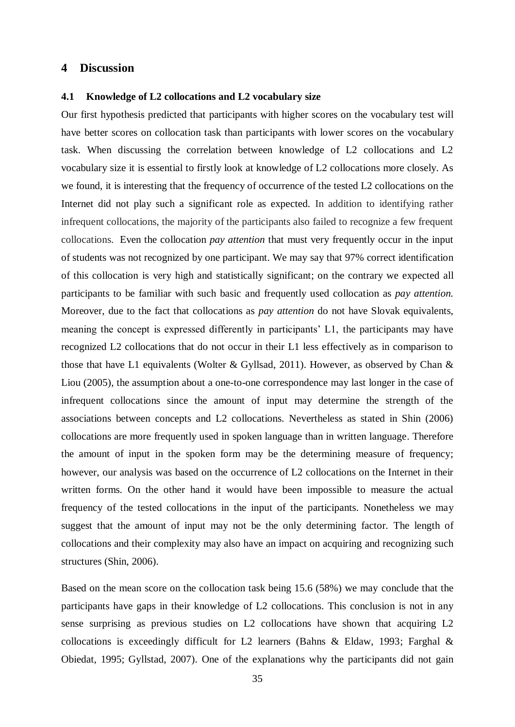## <span id="page-34-0"></span>**4 Discussion**

#### <span id="page-34-1"></span>**4.1 Knowledge of L2 collocations and L2 vocabulary size**

Our first hypothesis predicted that participants with higher scores on the vocabulary test will have better scores on collocation task than participants with lower scores on the vocabulary task. When discussing the correlation between knowledge of L2 collocations and L2 vocabulary size it is essential to firstly look at knowledge of L2 collocations more closely. As we found, it is interesting that the frequency of occurrence of the tested L2 collocations on the Internet did not play such a significant role as expected. In addition to identifying rather infrequent collocations, the majority of the participants also failed to recognize a few frequent collocations. Even the collocation *pay attention* that must very frequently occur in the input of students was not recognized by one participant. We may say that 97% correct identification of this collocation is very high and statistically significant; on the contrary we expected all participants to be familiar with such basic and frequently used collocation as *pay attention.* Moreover, due to the fact that collocations as *pay attention* do not have Slovak equivalents, meaning the concept is expressed differently in participants' L1, the participants may have recognized L2 collocations that do not occur in their L1 less effectively as in comparison to those that have L1 equivalents (Wolter & Gyllsad, 2011). However, as observed by Chan & Liou (2005), the assumption about a one-to-one correspondence may last longer in the case of infrequent collocations since the amount of input may determine the strength of the associations between concepts and L2 collocations. Nevertheless as stated in Shin (2006) collocations are more frequently used in spoken language than in written language. Therefore the amount of input in the spoken form may be the determining measure of frequency; however, our analysis was based on the occurrence of L2 collocations on the Internet in their written forms. On the other hand it would have been impossible to measure the actual frequency of the tested collocations in the input of the participants. Nonetheless we may suggest that the amount of input may not be the only determining factor. The length of collocations and their complexity may also have an impact on acquiring and recognizing such structures (Shin, 2006).

Based on the mean score on the collocation task being 15.6 (58%) we may conclude that the participants have gaps in their knowledge of L2 collocations. This conclusion is not in any sense surprising as previous studies on L2 collocations have shown that acquiring L2 collocations is exceedingly difficult for L2 learners (Bahns & Eldaw, 1993; Farghal & Obiedat, 1995; Gyllstad, 2007). One of the explanations why the participants did not gain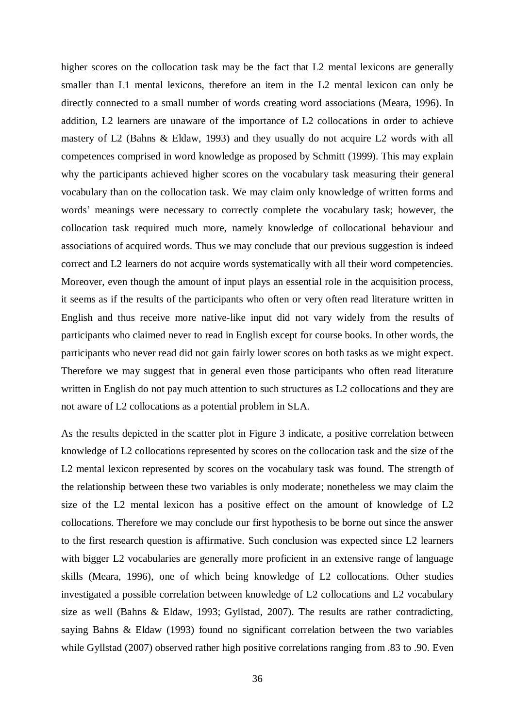higher scores on the collocation task may be the fact that L2 mental lexicons are generally smaller than L1 mental lexicons, therefore an item in the L2 mental lexicon can only be directly connected to a small number of words creating word associations (Meara, 1996). In addition, L2 learners are unaware of the importance of L2 collocations in order to achieve mastery of L2 (Bahns & Eldaw, 1993) and they usually do not acquire L2 words with all competences comprised in word knowledge as proposed by Schmitt (1999). This may explain why the participants achieved higher scores on the vocabulary task measuring their general vocabulary than on the collocation task. We may claim only knowledge of written forms and words' meanings were necessary to correctly complete the vocabulary task; however, the collocation task required much more, namely knowledge of collocational behaviour and associations of acquired words. Thus we may conclude that our previous suggestion is indeed correct and L2 learners do not acquire words systematically with all their word competencies. Moreover, even though the amount of input plays an essential role in the acquisition process, it seems as if the results of the participants who often or very often read literature written in English and thus receive more native-like input did not vary widely from the results of participants who claimed never to read in English except for course books. In other words, the participants who never read did not gain fairly lower scores on both tasks as we might expect. Therefore we may suggest that in general even those participants who often read literature written in English do not pay much attention to such structures as L2 collocations and they are not aware of L2 collocations as a potential problem in SLA.

As the results depicted in the scatter plot in Figure 3 indicate, a positive correlation between knowledge of L2 collocations represented by scores on the collocation task and the size of the L2 mental lexicon represented by scores on the vocabulary task was found. The strength of the relationship between these two variables is only moderate; nonetheless we may claim the size of the L2 mental lexicon has a positive effect on the amount of knowledge of L2 collocations. Therefore we may conclude our first hypothesis to be borne out since the answer to the first research question is affirmative. Such conclusion was expected since L2 learners with bigger L2 vocabularies are generally more proficient in an extensive range of language skills (Meara, 1996), one of which being knowledge of L2 collocations. Other studies investigated a possible correlation between knowledge of L2 collocations and L2 vocabulary size as well (Bahns & Eldaw, 1993; Gyllstad, 2007). The results are rather contradicting, saying Bahns & Eldaw (1993) found no significant correlation between the two variables while Gyllstad (2007) observed rather high positive correlations ranging from .83 to .90. Even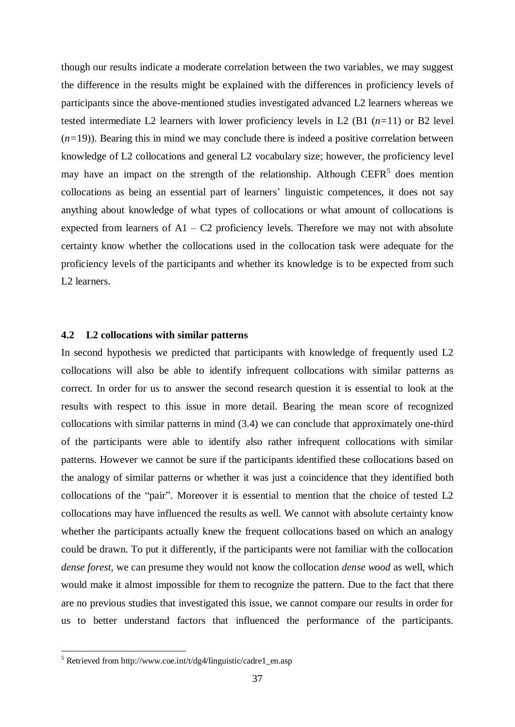though our results indicate a moderate correlation between the two variables, we may suggest the difference in the results might be explained with the differences in proficiency levels of participants since the above-mentioned studies investigated advanced L2 learners whereas we tested intermediate L2 learners with lower proficiency levels in L2 (B1 (*n=*11) or B2 level  $(n=19)$ ). Bearing this in mind we may conclude there is indeed a positive correlation between knowledge of L2 collocations and general L2 vocabulary size; however, the proficiency level may have an impact on the strength of the relationship. Although  $C EFR<sup>5</sup>$  does mention collocations as being an essential part of learners' linguistic competences, it does not say anything about knowledge of what types of collocations or what amount of collocations is expected from learners of  $A1 - C2$  proficiency levels. Therefore we may not with absolute certainty know whether the collocations used in the collocation task were adequate for the proficiency levels of the participants and whether its knowledge is to be expected from such L2 learners.

# <span id="page-36-0"></span>**4.2 L2 collocations with similar patterns**

In second hypothesis we predicted that participants with knowledge of frequently used L2 collocations will also be able to identify infrequent collocations with similar patterns as correct. In order for us to answer the second research question it is essential to look at the results with respect to this issue in more detail. Bearing the mean score of recognized collocations with similar patterns in mind (3.4) we can conclude that approximately one-third of the participants were able to identify also rather infrequent collocations with similar patterns. However we cannot be sure if the participants identified these collocations based on the analogy of similar patterns or whether it was just a coincidence that they identified both collocations of the "pair". Moreover it is essential to mention that the choice of tested L2 collocations may have influenced the results as well. We cannot with absolute certainty know whether the participants actually knew the frequent collocations based on which an analogy could be drawn. To put it differently, if the participants were not familiar with the collocation *dense forest,* we can presume they would not know the collocation *dense wood* as well, which would make it almost impossible for them to recognize the pattern. Due to the fact that there are no previous studies that investigated this issue, we cannot compare our results in order for us to better understand factors that influenced the performance of the participants.

1

 $5$  Retrieved from http://www.coe.int/t/dg4/linguistic/cadre1\_en.asp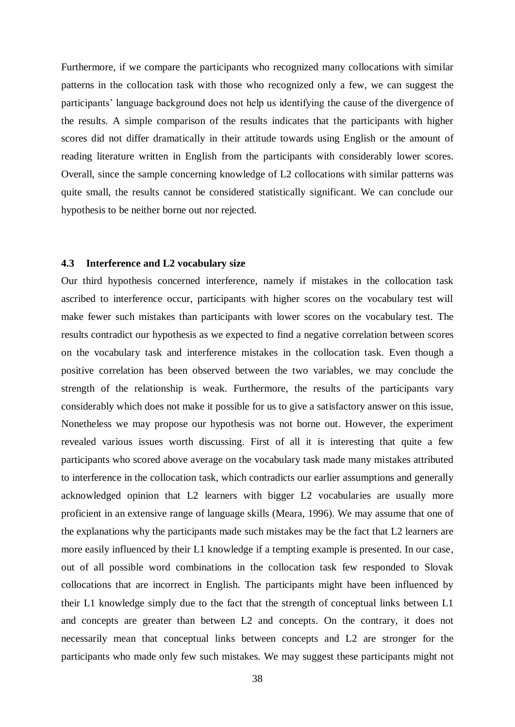Furthermore, if we compare the participants who recognized many collocations with similar patterns in the collocation task with those who recognized only a few, we can suggest the participants' language background does not help us identifying the cause of the divergence of the results. A simple comparison of the results indicates that the participants with higher scores did not differ dramatically in their attitude towards using English or the amount of reading literature written in English from the participants with considerably lower scores. Overall, since the sample concerning knowledge of L2 collocations with similar patterns was quite small, the results cannot be considered statistically significant. We can conclude our hypothesis to be neither borne out nor rejected.

#### <span id="page-37-0"></span>**4.3 Interference and L2 vocabulary size**

Our third hypothesis concerned interference, namely if mistakes in the collocation task ascribed to interference occur, participants with higher scores on the vocabulary test will make fewer such mistakes than participants with lower scores on the vocabulary test. The results contradict our hypothesis as we expected to find a negative correlation between scores on the vocabulary task and interference mistakes in the collocation task. Even though a positive correlation has been observed between the two variables, we may conclude the strength of the relationship is weak. Furthermore, the results of the participants vary considerably which does not make it possible for us to give a satisfactory answer on this issue, Nonetheless we may propose our hypothesis was not borne out. However, the experiment revealed various issues worth discussing. First of all it is interesting that quite a few participants who scored above average on the vocabulary task made many mistakes attributed to interference in the collocation task, which contradicts our earlier assumptions and generally acknowledged opinion that L2 learners with bigger L2 vocabularies are usually more proficient in an extensive range of language skills (Meara, 1996). We may assume that one of the explanations why the participants made such mistakes may be the fact that L2 learners are more easily influenced by their L1 knowledge if a tempting example is presented. In our case, out of all possible word combinations in the collocation task few responded to Slovak collocations that are incorrect in English. The participants might have been influenced by their L1 knowledge simply due to the fact that the strength of conceptual links between L1 and concepts are greater than between L2 and concepts. On the contrary, it does not necessarily mean that conceptual links between concepts and L2 are stronger for the participants who made only few such mistakes. We may suggest these participants might not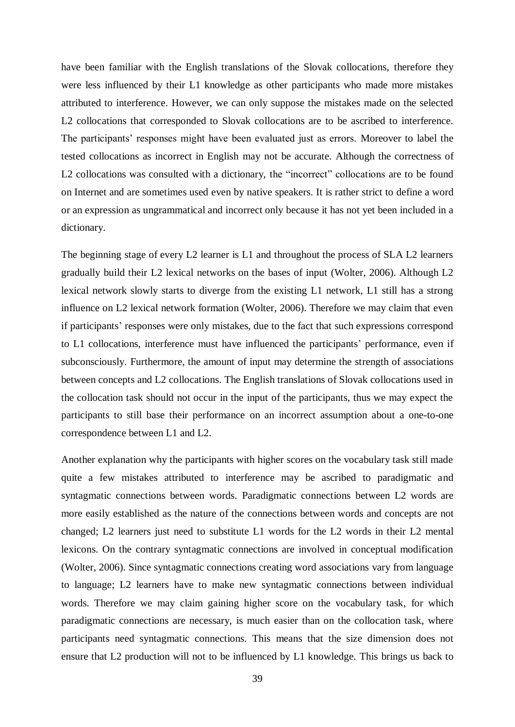have been familiar with the English translations of the Slovak collocations, therefore they were less influenced by their L1 knowledge as other participants who made more mistakes attributed to interference. However, we can only suppose the mistakes made on the selected L2 collocations that corresponded to Slovak collocations are to be ascribed to interference. The participants' responses might have been evaluated just as errors. Moreover to label the tested collocations as incorrect in English may not be accurate. Although the correctness of L2 collocations was consulted with a dictionary, the "incorrect" collocations are to be found on Internet and are sometimes used even by native speakers. It is rather strict to define a word or an expression as ungrammatical and incorrect only because it has not yet been included in a dictionary.

The beginning stage of every L2 learner is L1 and throughout the process of SLA L2 learners gradually build their L2 lexical networks on the bases of input (Wolter, 2006). Although L2 lexical network slowly starts to diverge from the existing L1 network, L1 still has a strong influence on L2 lexical network formation (Wolter, 2006). Therefore we may claim that even if participants' responses were only mistakes, due to the fact that such expressions correspond to L1 collocations, interference must have influenced the participants' performance, even if subconsciously. Furthermore, the amount of input may determine the strength of associations between concepts and L2 collocations. The English translations of Slovak collocations used in the collocation task should not occur in the input of the participants, thus we may expect the participants to still base their performance on an incorrect assumption about a one-to-one correspondence between L1 and L2.

Another explanation why the participants with higher scores on the vocabulary task still made quite a few mistakes attributed to interference may be ascribed to paradigmatic and syntagmatic connections between words. Paradigmatic connections between L2 words are more easily established as the nature of the connections between words and concepts are not changed; L2 learners just need to substitute L1 words for the L2 words in their L2 mental lexicons. On the contrary syntagmatic connections are involved in conceptual modification (Wolter, 2006). Since syntagmatic connections creating word associations vary from language to language; L2 learners have to make new syntagmatic connections between individual words. Therefore we may claim gaining higher score on the vocabulary task, for which paradigmatic connections are necessary, is much easier than on the collocation task, where participants need syntagmatic connections. This means that the size dimension does not ensure that L2 production will not to be influenced by L1 knowledge. This brings us back to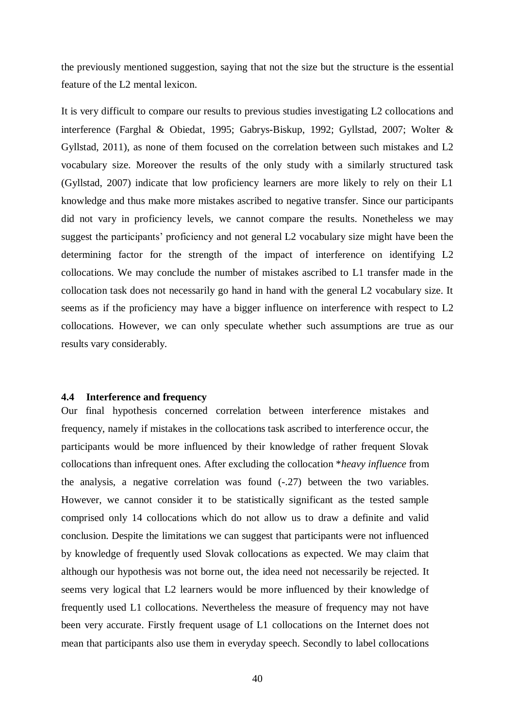the previously mentioned suggestion, saying that not the size but the structure is the essential feature of the L2 mental lexicon.

It is very difficult to compare our results to previous studies investigating L2 collocations and interference (Farghal & Obiedat, 1995; Gabrys-Biskup, 1992; Gyllstad, 2007; Wolter & Gyllstad, 2011), as none of them focused on the correlation between such mistakes and L2 vocabulary size. Moreover the results of the only study with a similarly structured task (Gyllstad, 2007) indicate that low proficiency learners are more likely to rely on their L1 knowledge and thus make more mistakes ascribed to negative transfer. Since our participants did not vary in proficiency levels, we cannot compare the results. Nonetheless we may suggest the participants' proficiency and not general L2 vocabulary size might have been the determining factor for the strength of the impact of interference on identifying L2 collocations. We may conclude the number of mistakes ascribed to L1 transfer made in the collocation task does not necessarily go hand in hand with the general L2 vocabulary size. It seems as if the proficiency may have a bigger influence on interference with respect to L2 collocations. However, we can only speculate whether such assumptions are true as our results vary considerably.

#### <span id="page-39-0"></span>**4.4 Interference and frequency**

Our final hypothesis concerned correlation between interference mistakes and frequency, namely if mistakes in the collocations task ascribed to interference occur, the participants would be more influenced by their knowledge of rather frequent Slovak collocations than infrequent ones. After excluding the collocation \**heavy influence* from the analysis, a negative correlation was found (-.27) between the two variables. However, we cannot consider it to be statistically significant as the tested sample comprised only 14 collocations which do not allow us to draw a definite and valid conclusion. Despite the limitations we can suggest that participants were not influenced by knowledge of frequently used Slovak collocations as expected. We may claim that although our hypothesis was not borne out, the idea need not necessarily be rejected. It seems very logical that L2 learners would be more influenced by their knowledge of frequently used L1 collocations. Nevertheless the measure of frequency may not have been very accurate. Firstly frequent usage of L1 collocations on the Internet does not mean that participants also use them in everyday speech. Secondly to label collocations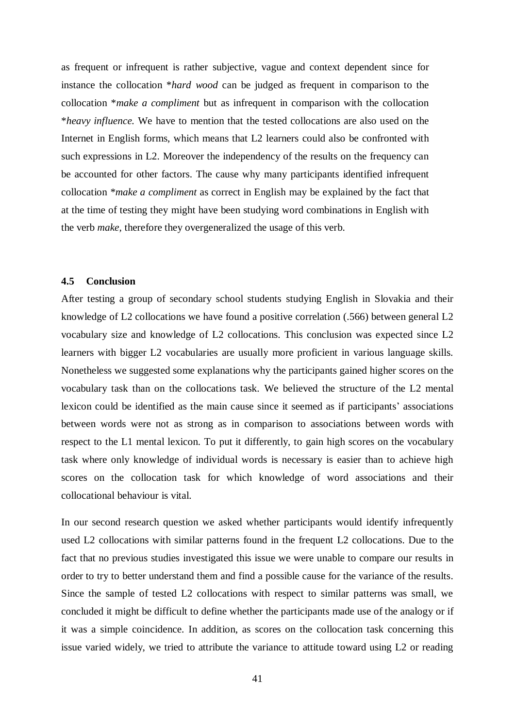as frequent or infrequent is rather subjective, vague and context dependent since for instance the collocation \**hard wood* can be judged as frequent in comparison to the collocation \**make a compliment* but as infrequent in comparison with the collocation \**heavy influence.* We have to mention that the tested collocations are also used on the Internet in English forms, which means that L2 learners could also be confronted with such expressions in L2. Moreover the independency of the results on the frequency can be accounted for other factors. The cause why many participants identified infrequent collocation *\*make a compliment* as correct in English may be explained by the fact that at the time of testing they might have been studying word combinations in English with the verb *make,* therefore they overgeneralized the usage of this verb.

### <span id="page-40-0"></span>**4.5 Conclusion**

After testing a group of secondary school students studying English in Slovakia and their knowledge of L2 collocations we have found a positive correlation (.566) between general L2 vocabulary size and knowledge of L2 collocations. This conclusion was expected since L2 learners with bigger L2 vocabularies are usually more proficient in various language skills. Nonetheless we suggested some explanations why the participants gained higher scores on the vocabulary task than on the collocations task. We believed the structure of the L2 mental lexicon could be identified as the main cause since it seemed as if participants' associations between words were not as strong as in comparison to associations between words with respect to the L1 mental lexicon. To put it differently, to gain high scores on the vocabulary task where only knowledge of individual words is necessary is easier than to achieve high scores on the collocation task for which knowledge of word associations and their collocational behaviour is vital.

In our second research question we asked whether participants would identify infrequently used L2 collocations with similar patterns found in the frequent L2 collocations. Due to the fact that no previous studies investigated this issue we were unable to compare our results in order to try to better understand them and find a possible cause for the variance of the results. Since the sample of tested L2 collocations with respect to similar patterns was small, we concluded it might be difficult to define whether the participants made use of the analogy or if it was a simple coincidence. In addition, as scores on the collocation task concerning this issue varied widely, we tried to attribute the variance to attitude toward using L2 or reading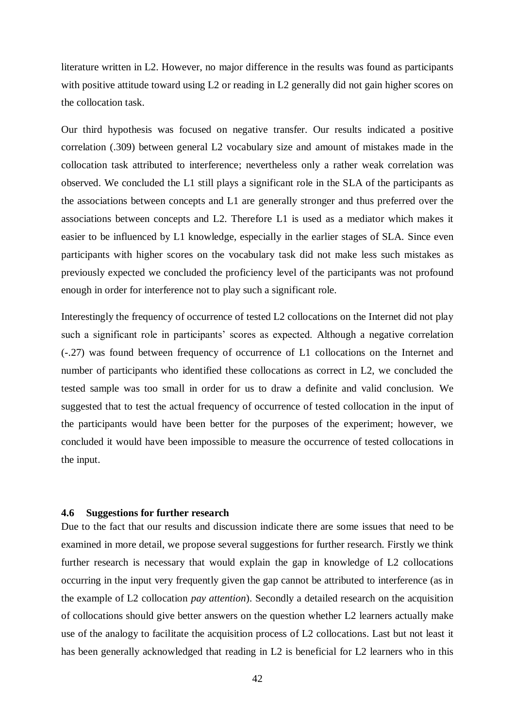literature written in L2. However, no major difference in the results was found as participants with positive attitude toward using L2 or reading in L2 generally did not gain higher scores on the collocation task.

Our third hypothesis was focused on negative transfer. Our results indicated a positive correlation (.309) between general L2 vocabulary size and amount of mistakes made in the collocation task attributed to interference; nevertheless only a rather weak correlation was observed. We concluded the L1 still plays a significant role in the SLA of the participants as the associations between concepts and L1 are generally stronger and thus preferred over the associations between concepts and L2. Therefore L1 is used as a mediator which makes it easier to be influenced by L1 knowledge, especially in the earlier stages of SLA. Since even participants with higher scores on the vocabulary task did not make less such mistakes as previously expected we concluded the proficiency level of the participants was not profound enough in order for interference not to play such a significant role.

Interestingly the frequency of occurrence of tested L2 collocations on the Internet did not play such a significant role in participants' scores as expected. Although a negative correlation (-.27) was found between frequency of occurrence of L1 collocations on the Internet and number of participants who identified these collocations as correct in L2, we concluded the tested sample was too small in order for us to draw a definite and valid conclusion. We suggested that to test the actual frequency of occurrence of tested collocation in the input of the participants would have been better for the purposes of the experiment; however, we concluded it would have been impossible to measure the occurrence of tested collocations in the input.

#### <span id="page-41-0"></span>**4.6 Suggestions for further research**

Due to the fact that our results and discussion indicate there are some issues that need to be examined in more detail, we propose several suggestions for further research. Firstly we think further research is necessary that would explain the gap in knowledge of L2 collocations occurring in the input very frequently given the gap cannot be attributed to interference (as in the example of L2 collocation *pay attention*). Secondly a detailed research on the acquisition of collocations should give better answers on the question whether L2 learners actually make use of the analogy to facilitate the acquisition process of L2 collocations. Last but not least it has been generally acknowledged that reading in L2 is beneficial for L2 learners who in this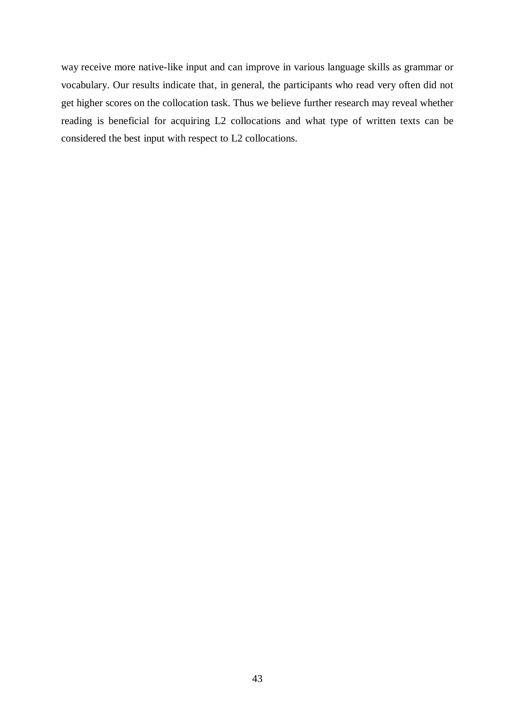way receive more native-like input and can improve in various language skills as grammar or vocabulary. Our results indicate that, in general, the participants who read very often did not get higher scores on the collocation task. Thus we believe further research may reveal whether reading is beneficial for acquiring L2 collocations and what type of written texts can be considered the best input with respect to L2 collocations.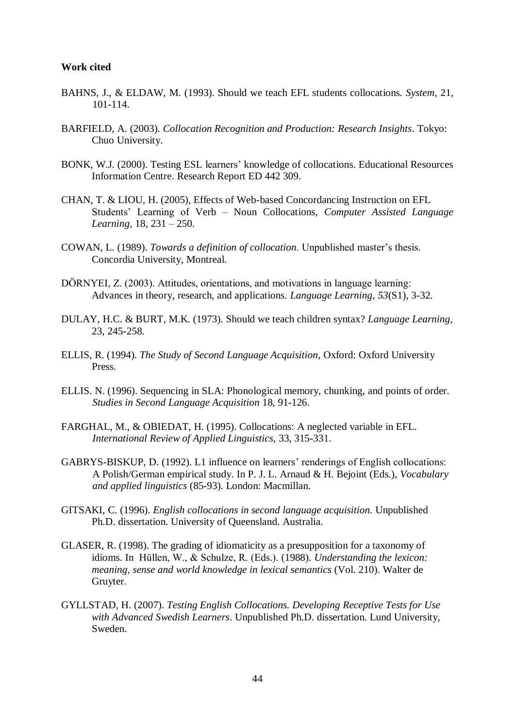#### <span id="page-43-0"></span>**Work cited**

- BAHNS, J., & ELDAW, M. (1993). Should we teach EFL students collocations. *System,* 21, 101-114.
- BARFIELD, A. (2003). *Collocation Recognition and Production: Research Insights*. Tokyo: Chuo University.
- BONK, W.J. (2000). Testing ESL learners' knowledge of collocations. Educational Resources Information Centre. Research Report ED 442 309.
- CHAN, T. & LIOU, H. (2005), Effects of Web-based Concordancing Instruction on EFL Students' Learning of Verb – Noun Collocations, *Computer Assisted Language Learning,* 18, 231 – 250.
- COWAN, L. (1989). *Towards a definition of collocation*. Unpublished master's thesis. Concordia University, Montreal.
- DÖRNYEI, Z. (2003). Attitudes, orientations, and motivations in language learning: Advances in theory, research, and applications. *Language Learning*, *53*(S1), 3-32.
- DULAY, H.C. & BURT, M.K. (1973). Should we teach children syntax? *Language Learning*, 23, 245-258.
- ELLIS, R. (1994). *The Study of Second Language Acquisition*, Oxford: Oxford University Press.
- ELLIS. N. (1996). Sequencing in SLA: Phonological memory, chunking, and points of order. *Studies in Second Language Acquisition* 18, 91-126.
- FARGHAL, M., & OBIEDAT, H. (1995). Collocations: A neglected variable in EFL. *International Review of Applied Linguistics,* 33, 315-331.
- GABRYS-BISKUP, D. (1992). L1 influence on learners' renderings of English collocations: A Polish/German empirical study. In P. J. L. Arnaud & H. Bejoint (Eds.), *Vocabulary and applied linguistics* (85-93). London: Macmillan.
- GITSAKI, C. (1996). *English collocations in second language acquisition.* Unpublished Ph.D. dissertation. University of Queensland. Australia.
- GLASER, R. (1998). The grading of idiomaticity as a presupposition for a taxonomy of idioms. In Hüllen, W., & Schulze, R. (Eds.). (1988). *Understanding the lexicon: meaning, sense and world knowledge in lexical semantics* (Vol. 210). Walter de Gruyter.
- GYLLSTAD, H. (2007). *Testing English Collocations. Developing Receptive Tests for Use with Advanced Swedish Learners*. Unpublished Ph.D. dissertation. Lund University, Sweden.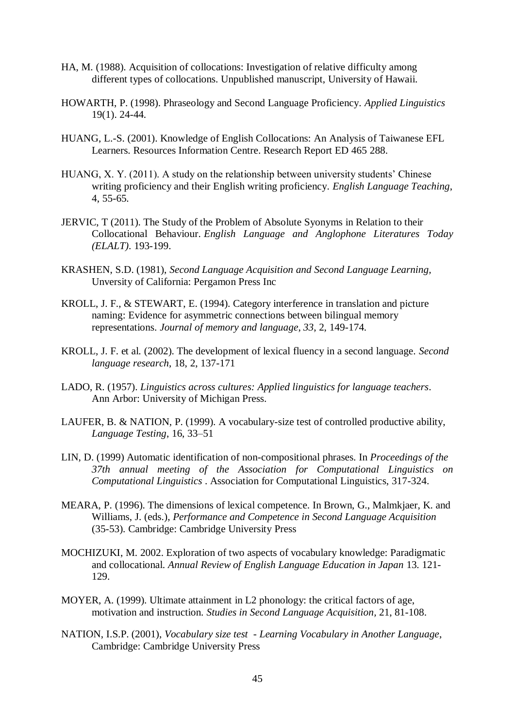- HA, M. (1988). Acquisition of collocations: Investigation of relative difficulty among different types of collocations. Unpublished manuscript, University of Hawaii.
- HOWARTH, P. (1998). Phraseology and Second Language Proficiency. *Applied Linguistics*  19(1). 24-44.
- HUANG, L.-S. (2001). Knowledge of English Collocations: An Analysis of Taiwanese EFL Learners. Resources Information Centre. Research Report ED 465 288.
- HUANG, X. Y. (2011). A study on the relationship between university students' Chinese writing proficiency and their English writing proficiency. *English Language Teaching*, 4, 55-65.
- JERVIC, T (2011). The Study of the Problem of Absolute Syonyms in Relation to their Collocational Behaviour. *English Language and Anglophone Literatures Today (ELALT)*. 193-199.
- KRASHEN, S.D. (1981), *Second Language Acquisition and Second Language Learning,*  Unversity of California: Pergamon Press Inc
- KROLL, J. F., & STEWART, E. (1994). Category interference in translation and picture naming: Evidence for asymmetric connections between bilingual memory representations. *Journal of memory and language*, *33*, 2, 149-174.
- KROLL, J. F. et al. (2002). The development of lexical fluency in a second language. *Second language research*, 18, 2, 137-171
- LADO, R. (1957). *Linguistics across cultures: Applied linguistics for language teachers*. Ann Arbor: University of Michigan Press.
- LAUFER, B. & NATION, P. (1999). A vocabulary-size test of controlled productive ability, *Language Testing*, 16, 33–51
- LIN, D. (1999) Automatic identification of non-compositional phrases. In *Proceedings of the 37th annual meeting of the Association for Computational Linguistics on Computational Linguistics* . Association for Computational Linguistics, 317-324.
- MEARA, P. (1996). The dimensions of lexical competence. In Brown, G., Malmkjaer, K. and Williams, J. (eds.), *Performance and Competence in Second Language Acquisition* (35-53). Cambridge: Cambridge University Press
- MOCHIZUKI, M. 2002. Exploration of two aspects of vocabulary knowledge: Paradigmatic and collocational. *Annual Review of English Language Education in Japan* 13. 121- 129.
- MOYER, A. (1999). Ultimate attainment in L2 phonology: the critical factors of age, motivation and instruction. *Studies in Second Language Acquisition,* 21, 81-108.
- NATION, I.S.P. (2001), *Vocabulary size test - Learning Vocabulary in Another Language*, Cambridge: Cambridge University Press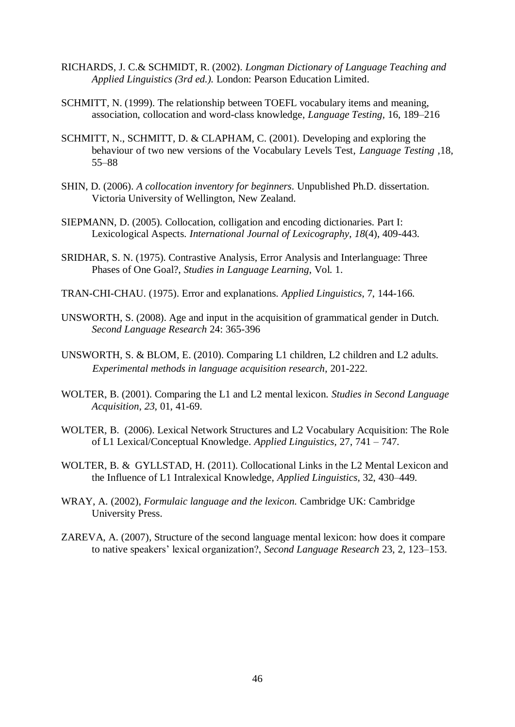- RICHARDS, J. C.& SCHMIDT, R. (2002). *Longman Dictionary of Language Teaching and Applied Linguistics (3rd ed.).* London: Pearson Education Limited.
- SCHMITT, N. (1999). The relationship between TOEFL vocabulary items and meaning, association, collocation and word-class knowledge, *Language Testing,* 16, 189–216
- SCHMITT, N., SCHMITT, D. & CLAPHAM, C. (2001). Developing and exploring the behaviour of two new versions of the Vocabulary Levels Test, *Language Testing* ,18, 55–88
- SHIN, D. (2006). *A collocation inventory for beginners*. Unpublished Ph.D. dissertation. Victoria University of Wellington, New Zealand.
- SIEPMANN, D. (2005). Collocation, colligation and encoding dictionaries. Part I: Lexicological Aspects. *International Journal of Lexicography*, *18*(4), 409-443.
- SRIDHAR, S. N. (1975). Contrastive Analysis, Error Analysis and Interlanguage: Three Phases of One Goal?, *Studies in Language Learning*, Vol. 1.
- TRAN-CHI-CHAU. (1975). Error and explanations. *Applied Linguistics*, 7, 144-166.
- UNSWORTH, S. (2008). Age and input in the acquisition of grammatical gender in Dutch. *Second Language Research* 24: 365-396
- UNSWORTH, S. & BLOM, E. (2010). Comparing L1 children, L2 children and L2 adults. *Experimental methods in language acquisition research*, 201-222.
- WOLTER, B. (2001). Comparing the L1 and L2 mental lexicon. *Studies in Second Language Acquisition*, *23*, 01, 41-69.
- WOLTER, B. (2006). Lexical Network Structures and L2 Vocabulary Acquisition: The Role of L1 Lexical/Conceptual Knowledge. *Applied Linguistics,* 27, 741 – 747.
- WOLTER, B. & GYLLSTAD, H. (2011). Collocational Links in the L2 Mental Lexicon and the Influence of L1 Intralexical Knowledge, *Applied Linguistics,* 32, 430–449.
- WRAY, A. (2002), *Formulaic language and the lexicon.* Cambridge UK: Cambridge University Press.
- ZAREVA, A. (2007), Structure of the second language mental lexicon: how does it compare to native speakers' lexical organization?, *Second Language Research* 23, 2, 123–153.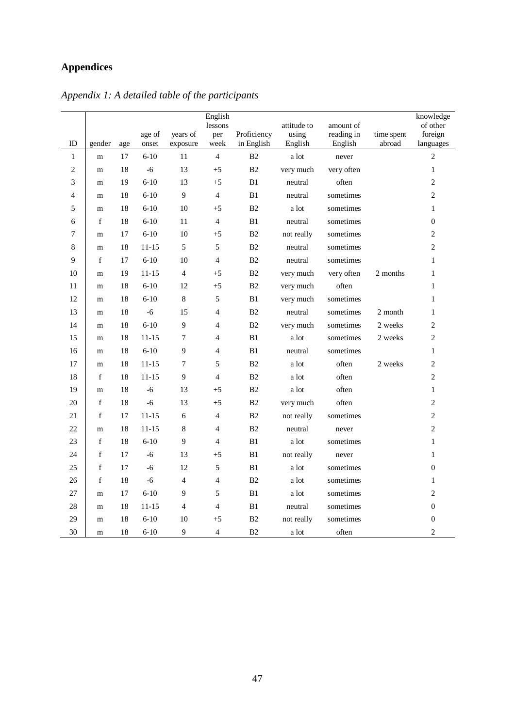# <span id="page-46-0"></span>**Appendices**

|                |             |        | age of    | years of       | English<br>lessons<br>per | Proficiency    | attitude to<br>using | amount of<br>reading in | time spent | knowledge<br>of other<br>foreign |
|----------------|-------------|--------|-----------|----------------|---------------------------|----------------|----------------------|-------------------------|------------|----------------------------------|
| ID             | gender      | age    | onset     | exposure       | week                      | in English     | English              | English                 | abroad     | languages                        |
| $\mathbf{1}$   | m           | 17     | $6 - 10$  | 11             | $\overline{4}$            | B <sub>2</sub> | a lot                | never                   |            | $\overline{2}$                   |
| $\overline{c}$ | m           | 18     | $-6$      | 13             | $+5$                      | B2             | very much            | very often              |            | $\mathbf{1}$                     |
| 3              | m           | 19     | $6 - 10$  | 13             | $+5$                      | B1             | neutral              | often                   |            | $\mathfrak{2}$                   |
| 4              | m           | 18     | $6 - 10$  | 9              | $\overline{4}$            | B1             | neutral              | sometimes               |            | $\mathfrak{2}$                   |
| 5              | m           | 18     | $6 - 10$  | $10\,$         | $+5$                      | B <sub>2</sub> | a lot                | sometimes               |            | $\mathbf{1}$                     |
| 6              | $\mathbf f$ | 18     | $6 - 10$  | 11             | $\overline{4}$            | B1             | neutral              | sometimes               |            | $\boldsymbol{0}$                 |
| 7              | m           | 17     | $6 - 10$  | $10\,$         | $+5$                      | B <sub>2</sub> | not really           | sometimes               |            | $\sqrt{2}$                       |
| 8              | m           | 18     | $11 - 15$ | 5              | 5                         | B <sub>2</sub> | neutral              | sometimes               |            | $\sqrt{2}$                       |
| 9              | f           | 17     | $6 - 10$  | 10             | $\overline{4}$            | B2             | neutral              | sometimes               |            | $\mathbf{1}$                     |
| 10             | m           | 19     | 11-15     | $\overline{4}$ | $+5$                      | B2             | very much            | very often              | 2 months   | $\mathbf{1}$                     |
| 11             | m           | 18     | $6 - 10$  | 12             | $+5$                      | B2             | very much            | often                   |            | $\mathbf{1}$                     |
| 12             | m           | 18     | $6 - 10$  | $\,8\,$        | 5                         | B1             | very much            | sometimes               |            | $\mathbf{1}$                     |
| 13             | m           | 18     | $-6$      | 15             | 4                         | B2             | neutral              | sometimes               | 2 month    | $\mathbf{1}$                     |
| 14             | m           | 18     | $6 - 10$  | 9              | $\overline{\mathcal{L}}$  | B <sub>2</sub> | very much            | sometimes               | 2 weeks    | $\mathfrak{2}$                   |
| 15             | ${\rm m}$   | 18     | $11 - 15$ | 7              | $\overline{\mathcal{L}}$  | B1             | a lot                | sometimes               | 2 weeks    | $\mathfrak{2}$                   |
| 16             | ${\rm m}$   | 18     | $6 - 10$  | 9              | $\overline{4}$            | B1             | neutral              | sometimes               |            | $\mathbf{1}$                     |
| 17             | m           | 18     | $11 - 15$ | 7              | 5                         | B <sub>2</sub> | a lot                | often                   | 2 weeks    | $\overline{2}$                   |
| 18             | $\mathbf f$ | 18     | $11 - 15$ | 9              | $\overline{4}$            | B <sub>2</sub> | a lot                | often                   |            | $\overline{c}$                   |
| 19             | m           | 18     | $-6$      | 13             | $+5$                      | B2             | a lot                | often                   |            | $\mathbf{1}$                     |
| 20             | f           | 18     | $-6$      | 13             | $+5$                      | B2             | very much            | often                   |            | $\mathfrak{2}$                   |
| 21             | f           | 17     | $11 - 15$ | 6              | $\overline{\mathcal{L}}$  | B2             | not really           | sometimes               |            | $\mathbf{2}$                     |
| 22             | m           | 18     | $11 - 15$ | $\,8\,$        | $\overline{4}$            | B <sub>2</sub> | neutral              | never                   |            | $\overline{c}$                   |
| 23             | $\mathbf f$ | 18     | $6 - 10$  | 9              | $\overline{4}$            | B1             | a lot                | sometimes               |            | $\mathbf{1}$                     |
| 24             | $\mathbf f$ | 17     | $-6$      | 13             | $+5$                      | B1             | not really           | never                   |            | $\mathbf{1}$                     |
| 25             | $\mathbf f$ | $17\,$ | $-6$      | 12             | 5                         | B1             | a lot                | sometimes               |            | $\boldsymbol{0}$                 |
| 26             | $\mathbf f$ | 18     | $-6$      | $\overline{4}$ | $\overline{4}$            | B <sub>2</sub> | a lot                | sometimes               |            | $\mathbf{1}$                     |
| 27             | m           | 17     | $6 - 10$  | 9              | 5                         | B1             | a lot                | sometimes               |            | $\mathfrak{2}$                   |
| 28             | m           | 18     | 11-15     | $\overline{4}$ | $\overline{4}$            | B1             | neutral              | sometimes               |            | $\boldsymbol{0}$                 |
| 29             | m           | 18     | $6 - 10$  | 10             | $+5$                      | B <sub>2</sub> | not really           | sometimes               |            | $\boldsymbol{0}$                 |
| 30             | m           | 18     | $6 - 10$  | 9              | $\overline{4}$            | B2             | a lot                | often                   |            | $\overline{2}$                   |

*Appendix 1: A detailed table of the participants*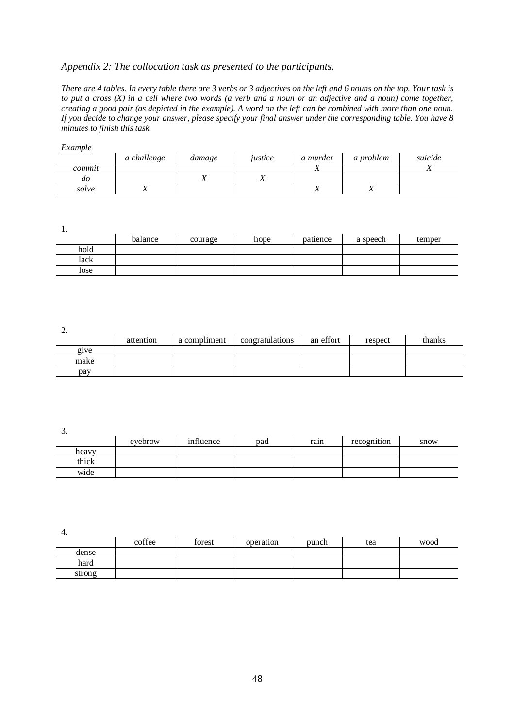### *Appendix 2: The collocation task as presented to the participants.*

*There are 4 tables. In every table there are 3 verbs or 3 adjectives on the left and 6 nouns on the top. Your task is to put a cross (X) in a cell where two words (a verb and a noun or an adjective and a noun) come together, creating a good pair (as depicted in the example). A word on the left can be combined with more than one noun. If you decide to change your answer, please specify your final answer under the corresponding table. You have 8 minutes to finish this task.* 

#### *Example*

|        | a challenge | damage | justice | a murder | a problem | suicide |
|--------|-------------|--------|---------|----------|-----------|---------|
| commit |             |        |         | ∡⊾       |           |         |
| ao     |             |        | 21      |          |           |         |
| solve  | ◢▴          |        |         |          | - 1       |         |

1.

|      | balance | courage | hope | patience | a speech | temper |
|------|---------|---------|------|----------|----------|--------|
| hold |         |         |      |          |          |        |
| lack |         |         |      |          |          |        |
| lose |         |         |      |          |          |        |

2.

| $\overline{\phantom{a}}$ | attention | a compliment | congratulations | an effort | respect | thanks |
|--------------------------|-----------|--------------|-----------------|-----------|---------|--------|
| g <sub>1</sub> ve        |           |              |                 |           |         |        |
| make                     |           |              |                 |           |         |        |
| pay                      |           |              |                 |           |         |        |

3.

| $-$   | evebrow | influence | pad | rain | recognition | snow |
|-------|---------|-----------|-----|------|-------------|------|
| heavy |         |           |     |      |             |      |
| thick |         |           |     |      |             |      |
| wide  |         |           |     |      |             |      |

4.

|        | coffee | forest | operation | punch | tea | wood |
|--------|--------|--------|-----------|-------|-----|------|
| dense  |        |        |           |       |     |      |
| hard   |        |        |           |       |     |      |
| strong |        |        |           |       |     |      |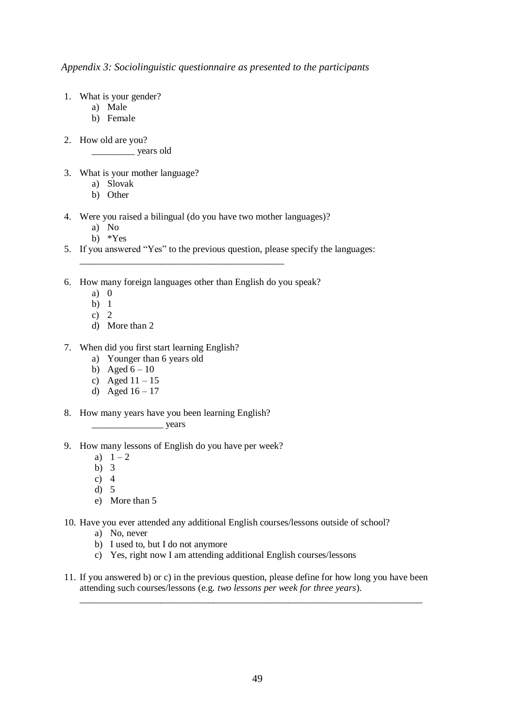*Appendix 3: Sociolinguistic questionnaire as presented to the participants*

- 1. What is your gender?
	- a) Male
	- b) Female
- 2. How old are you?

\_\_\_\_\_\_\_\_\_ years old

- 3. What is your mother language?
	- a) Slovak
	- b) Other
- 4. Were you raised a bilingual (do you have two mother languages)?
	- a) No
	- b) \*Yes
- 5. If you answered "Yes" to the previous question, please specify the languages:
- 6. How many foreign languages other than English do you speak?

\_\_\_\_\_\_\_\_\_\_\_\_\_\_\_\_\_\_\_\_\_\_\_\_\_\_\_\_\_\_\_\_\_\_\_\_\_\_\_\_\_\_\_

- a) 0
- b) 1
- c)  $2$
- d) More than 2
- 7. When did you first start learning English?
	- a) Younger than 6 years old
	- b) Aged  $6 10$
	- c) Aged  $11 15$
	- d) Aged  $16 17$
- 8. How many years have you been learning English?

\_\_\_\_\_\_\_\_\_\_\_\_\_\_\_ years

- 9. How many lessons of English do you have per week?
	- a)  $1 2$
	- b) 3
	- c)  $4$
	- d) 5
	- e) More than 5
- 10. Have you ever attended any additional English courses/lessons outside of school?
	- a) No, never
	- b) I used to, but I do not anymore
	- c) Yes, right now I am attending additional English courses/lessons
- 11. If you answered b) or c) in the previous question, please define for how long you have been attending such courses/lessons (e.g. *two lessons per week for three years*).

\_\_\_\_\_\_\_\_\_\_\_\_\_\_\_\_\_\_\_\_\_\_\_\_\_\_\_\_\_\_\_\_\_\_\_\_\_\_\_\_\_\_\_\_\_\_\_\_\_\_\_\_\_\_\_\_\_\_\_\_\_\_\_\_\_\_\_\_\_\_\_\_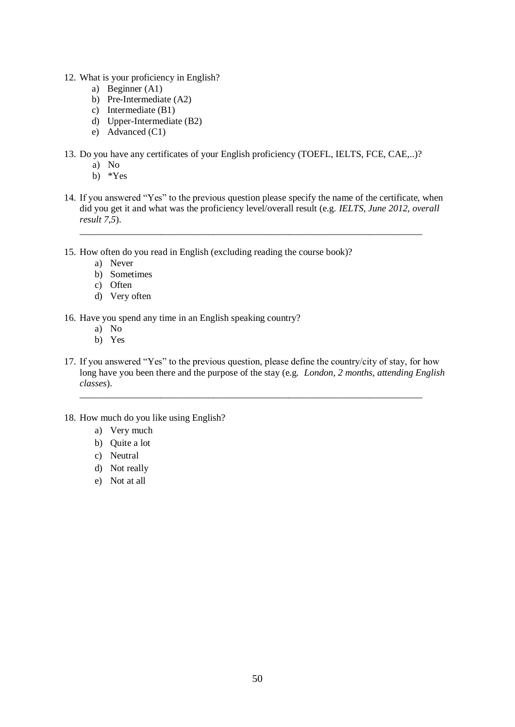- 12. What is your proficiency in English?
	- a) Beginner (A1)
	- b) Pre-Intermediate (A2)
	- c) Intermediate (B1)
	- d) Upper-Intermediate (B2)
	- e) Advanced (C1)
- 13. Do you have any certificates of your English proficiency (TOEFL, IELTS, FCE, CAE,..)?
	- a) No
	- b) \*Yes
- 14. If you answered "Yes" to the previous question please specify the name of the certificate, when did you get it and what was the proficiency level/overall result (e.g. *IELTS, June 2012, overall result 7,5*).

\_\_\_\_\_\_\_\_\_\_\_\_\_\_\_\_\_\_\_\_\_\_\_\_\_\_\_\_\_\_\_\_\_\_\_\_\_\_\_\_\_\_\_\_\_\_\_\_\_\_\_\_\_\_\_\_\_\_\_\_\_\_\_\_\_\_\_\_\_\_\_\_

- 15. How often do you read in English (excluding reading the course book)?
	- a) Never
	- b) Sometimes
	- c) Often
	- d) Very often
- 16. Have you spend any time in an English speaking country?
	- a) No
	- b) Yes
- 17. If you answered "Yes" to the previous question, please define the country/city of stay, for how long have you been there and the purpose of the stay (e.g. *London, 2 months, attending English classes*). \_\_\_\_\_\_\_\_\_\_\_\_\_\_\_\_\_\_\_\_\_\_\_\_\_\_\_\_\_\_\_\_\_\_\_\_\_\_\_\_\_\_\_\_\_\_\_\_\_\_\_\_\_\_\_\_\_\_\_\_\_\_\_\_\_\_\_\_\_\_\_\_
- 18. How much do you like using English?
	- a) Very much
	- b) Quite a lot
	- c) Neutral
	- d) Not really
	- e) Not at all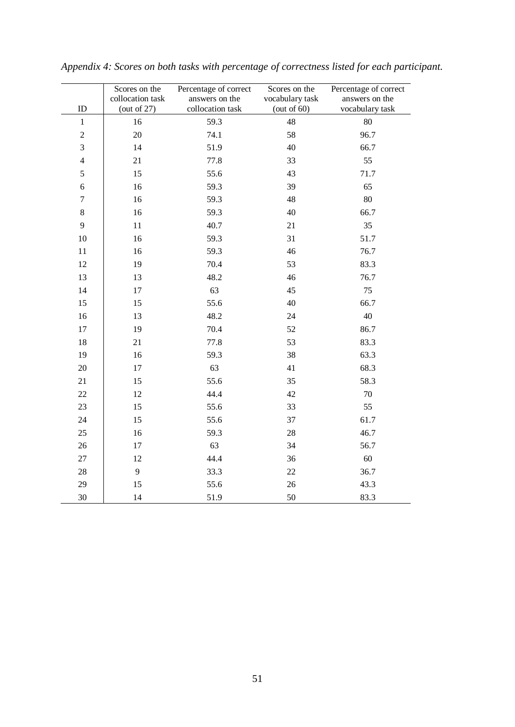|                  | Scores on the    | Percentage of correct | Scores on the   | Percentage of correct |
|------------------|------------------|-----------------------|-----------------|-----------------------|
|                  | collocation task | answers on the        | vocabulary task | answers on the        |
| $\rm ID$         | (out of $27$ )   | collocation task      | (out of $60$ )  | vocabulary task       |
| $1\,$            | 16               | 59.3                  | 48              | 80                    |
| $\sqrt{2}$       | 20               | 74.1                  | 58              | 96.7                  |
| 3                | 14               | 51.9                  | 40              | 66.7                  |
| $\overline{4}$   | 21               | 77.8                  | 33              | 55                    |
| 5                | 15               | 55.6                  | 43              | 71.7                  |
| $\sqrt{6}$       | 16               | 59.3                  | 39              | 65                    |
| $\boldsymbol{7}$ | 16               | 59.3                  | 48              | 80                    |
| $\bf 8$          | 16               | 59.3                  | 40              | 66.7                  |
| 9                | $11\,$           | 40.7                  | 21              | 35                    |
| $10\,$           | 16               | 59.3                  | 31              | 51.7                  |
| $11\,$           | 16               | 59.3                  | 46              | 76.7                  |
| 12               | 19               | 70.4                  | 53              | 83.3                  |
| 13               | 13               | 48.2                  | 46              | 76.7                  |
| 14               | 17               | 63                    | 45              | 75                    |
| 15               | 15               | 55.6                  | 40              | 66.7                  |
| 16               | 13               | 48.2                  | 24              | 40                    |
| 17               | 19               | 70.4                  | 52              | 86.7                  |
| $18\,$           | 21               | 77.8                  | 53              | 83.3                  |
| 19               | 16               | 59.3                  | 38              | 63.3                  |
| $20\,$           | $17\,$           | 63                    | 41              | 68.3                  |
| $21\,$           | 15               | 55.6                  | 35              | 58.3                  |
| $22\,$           | 12               | 44.4                  | 42              | $70\,$                |
| 23               | 15               | 55.6                  | 33              | 55                    |
| 24               | 15               | 55.6                  | 37              | 61.7                  |
| $25\,$           | 16               | 59.3                  | $28\,$          | 46.7                  |
| 26               | $17\,$           | 63                    | 34              | 56.7                  |
| $27\,$           | 12               | 44.4                  | 36              | 60                    |
| $28\,$           | 9                | 33.3                  | 22              | 36.7                  |
| 29               | 15               | 55.6                  | 26              | 43.3                  |
| $30\,$           | 14               | 51.9                  | 50              | 83.3                  |

*Appendix 4: Scores on both tasks with percentage of correctness listed for each participant.*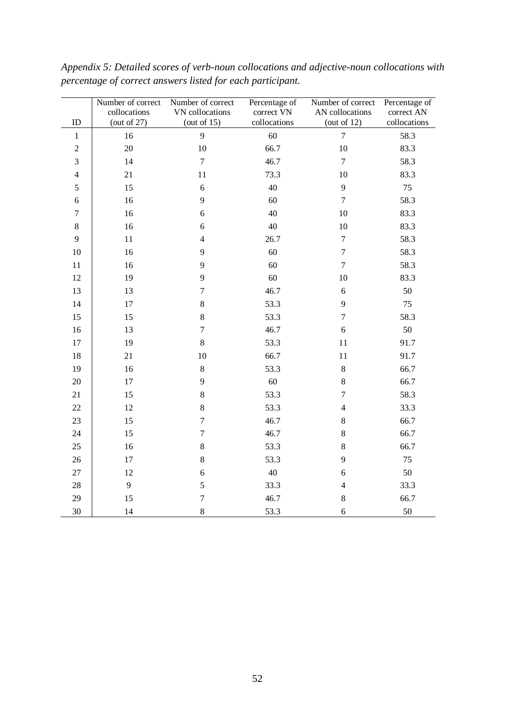|                 | Number of correct              | Number of correct                 | Percentage of              | Number of correct                 | Percentage of              |
|-----------------|--------------------------------|-----------------------------------|----------------------------|-----------------------------------|----------------------------|
| ID              | collocations<br>(out of $27$ ) | VN collocations<br>(out of $15$ ) | correct VN<br>collocations | AN collocations<br>(out of $12$ ) | correct AN<br>collocations |
| $\mathbf{1}$    | 16                             | 9                                 | 60                         | $\overline{7}$                    | 58.3                       |
|                 | $20\,$                         |                                   | 66.7                       |                                   | 83.3                       |
| $\sqrt{2}$<br>3 | 14                             | 10<br>$\overline{7}$              | 46.7                       | 10<br>$\overline{7}$              |                            |
|                 |                                |                                   |                            |                                   | 58.3                       |
| $\overline{4}$  | 21                             | 11                                | 73.3                       | 10                                | 83.3                       |
| 5               | 15                             | $\sqrt{6}$                        | 40                         | $\mathbf{9}$                      | 75                         |
| $\sqrt{6}$      | 16                             | 9                                 | 60                         | $\boldsymbol{7}$                  | 58.3                       |
| $\tau$          | 16                             | 6                                 | 40                         | 10                                | 83.3                       |
| $\bf 8$         | 16                             | $\sqrt{6}$                        | 40                         | 10                                | 83.3                       |
| 9               | $11\,$                         | $\overline{4}$                    | 26.7                       | $\boldsymbol{7}$                  | 58.3                       |
| 10              | 16                             | 9                                 | 60                         | $\boldsymbol{7}$                  | 58.3                       |
| $11\,$          | 16                             | 9                                 | 60                         | $\boldsymbol{7}$                  | 58.3                       |
| 12              | 19                             | $\mathbf{9}$                      | 60                         | 10                                | 83.3                       |
| 13              | 13                             | $\tau$                            | 46.7                       | 6                                 | $50\,$                     |
| 14              | 17                             | $8\,$                             | 53.3                       | 9                                 | 75                         |
| 15              | 15                             | $\,8\,$                           | 53.3                       | $\boldsymbol{7}$                  | 58.3                       |
| 16              | 13                             | $\boldsymbol{7}$                  | 46.7                       | $\sqrt{6}$                        | 50                         |
| $17\,$          | 19                             | $8\,$                             | 53.3                       | 11                                | 91.7                       |
| 18              | 21                             | 10                                | 66.7                       | 11                                | 91.7                       |
| 19              | 16                             | $8\,$                             | 53.3                       | $8\,$                             | 66.7                       |
| 20              | $17\,$                         | 9                                 | 60                         | $\,$ 8 $\,$                       | 66.7                       |
| 21              | 15                             | $\,8\,$                           | 53.3                       | $\boldsymbol{7}$                  | 58.3                       |
| $22\,$          | 12                             | 8                                 | 53.3                       | $\overline{4}$                    | 33.3                       |
| 23              | 15                             | $\boldsymbol{7}$                  | 46.7                       | $8\,$                             | 66.7                       |
| 24              | 15                             | $\boldsymbol{7}$                  | 46.7                       | 8                                 | 66.7                       |
| 25              | 16                             | $\,8\,$                           | 53.3                       | $\,$ 8 $\,$                       | 66.7                       |
| 26              | 17                             | $\,8\,$                           | 53.3                       | 9                                 | 75                         |
| 27              | 12                             | 6                                 | 40                         | 6                                 | 50                         |
| 28              | 9                              | 5                                 | 33.3                       | $\overline{4}$                    | 33.3                       |
| 29              | 15                             | $\boldsymbol{7}$                  | 46.7                       | $8\,$                             | 66.7                       |
| 30              | 14                             | $8\,$                             | 53.3                       | 6                                 | 50                         |

*Appendix 5: Detailed scores of verb-noun collocations and adjective-noun collocations with percentage of correct answers listed for each participant.*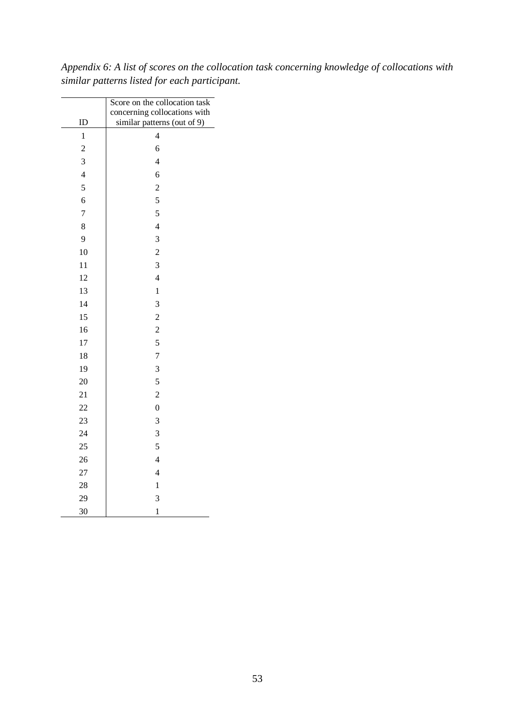*Appendix 6: A list of scores on the collocation task concerning knowledge of collocations with similar patterns listed for each participant.*

|                | Score on the collocation task |  |  |
|----------------|-------------------------------|--|--|
|                | concerning collocations with  |  |  |
| ID             | similar patterns (out of 9)   |  |  |
| $\mathbf{1}$   | $\overline{\mathcal{L}}$      |  |  |
| $\overline{c}$ | 6                             |  |  |
| 3              | $\overline{4}$                |  |  |
| $\overline{4}$ | 6                             |  |  |
| 5              | $\overline{c}$                |  |  |
| 6              | 5                             |  |  |
| $\overline{7}$ | 5                             |  |  |
| 8              | $\overline{4}$                |  |  |
| 9              | 3                             |  |  |
| 10             | $\overline{c}$                |  |  |
| 11             | 3                             |  |  |
| 12             | $\overline{4}$                |  |  |
| 13             | $\mathbf 1$                   |  |  |
| 14             | 3                             |  |  |
| 15             | $\overline{c}$                |  |  |
| 16             | $\overline{\mathbf{c}}$       |  |  |
| 17             | 5                             |  |  |
| 18             | $\overline{7}$                |  |  |
| 19             | 3                             |  |  |
| 20             | 5                             |  |  |
| 21             | $\overline{c}$                |  |  |
| 22             | $\boldsymbol{0}$              |  |  |
| 23             | 3                             |  |  |
| 24             | 3                             |  |  |
| 25             | 5                             |  |  |
| 26             | $\overline{4}$                |  |  |
| 27             | $\overline{\mathcal{L}}$      |  |  |
| 28             | $\mathbf 1$                   |  |  |
| 29             | 3                             |  |  |
| 30             | $\mathbf 1$                   |  |  |